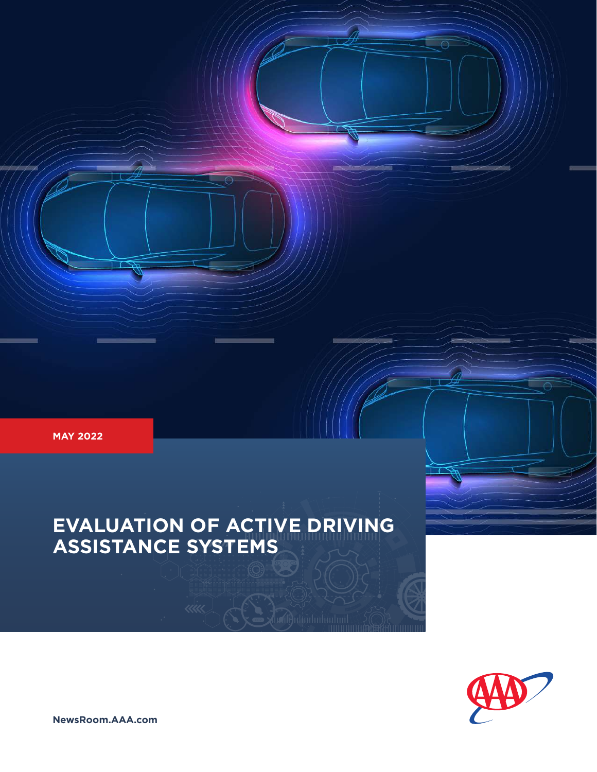**MAY 2022**

# **EVALUATION OF ACTIVE DRIVING ASSISTANCE SYSTEMS**



**NewsRoom.AAA.com**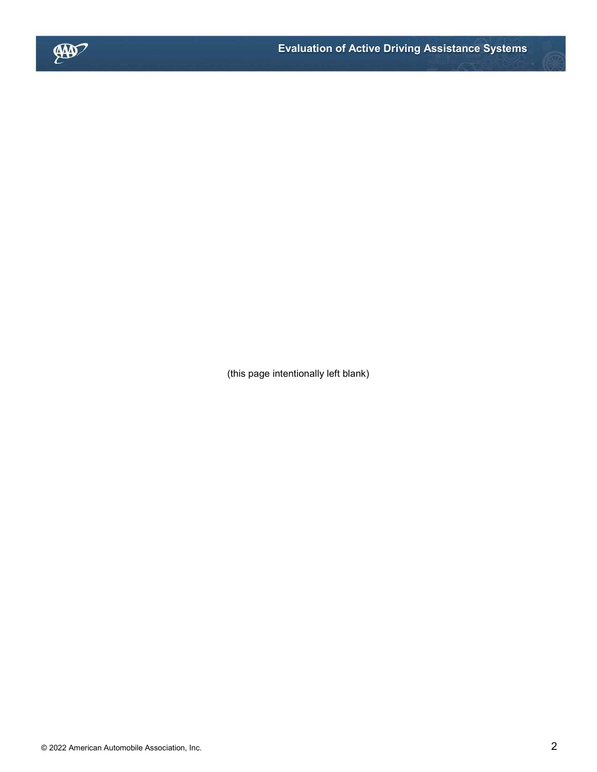

(this page intentionally left blank)

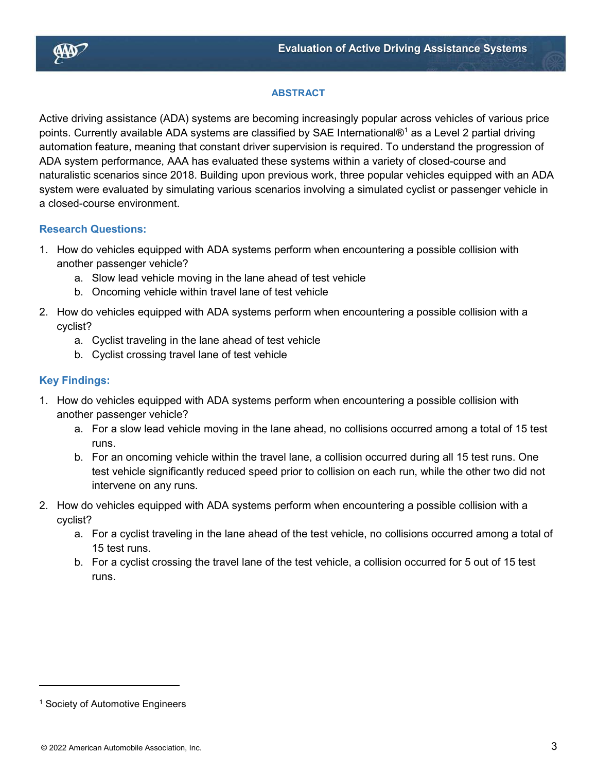

#### ABSTRACT

Active driving assistance (ADA) systems are becoming increasingly popular across vehicles of various price points. Currently available ADA systems are classified by SAE International®<sup>1</sup> as a Level 2 partial driving automation feature, meaning that constant driver supervision is required. To understand the progression of ADA system performance, AAA has evaluated these systems within a variety of closed-course and naturalistic scenarios since 2018. Building upon previous work, three popular vehicles equipped with an ADA system were evaluated by simulating various scenarios involving a simulated cyclist or passenger vehicle in a closed-course environment.

## Research Questions:

- 1. How do vehicles equipped with ADA systems perform when encountering a possible collision with another passenger vehicle?
	- a. Slow lead vehicle moving in the lane ahead of test vehicle
	- b. Oncoming vehicle within travel lane of test vehicle
- 2. How do vehicles equipped with ADA systems perform when encountering a possible collision with a cyclist?
	- a. Cyclist traveling in the lane ahead of test vehicle
	- b. Cyclist crossing travel lane of test vehicle

# Key Findings:

- 1. How do vehicles equipped with ADA systems perform when encountering a possible collision with another passenger vehicle?
	- a. For a slow lead vehicle moving in the lane ahead, no collisions occurred among a total of 15 test runs.
	- b. For an oncoming vehicle within the travel lane, a collision occurred during all 15 test runs. One test vehicle significantly reduced speed prior to collision on each run, while the other two did not intervene on any runs.
- 2. How do vehicles equipped with ADA systems perform when encountering a possible collision with a cyclist?
	- a. For a cyclist traveling in the lane ahead of the test vehicle, no collisions occurred among a total of 15 test runs.
	- b. For a cyclist crossing the travel lane of the test vehicle, a collision occurred for 5 out of 15 test runs.

-

<sup>1</sup> Society of Automotive Engineers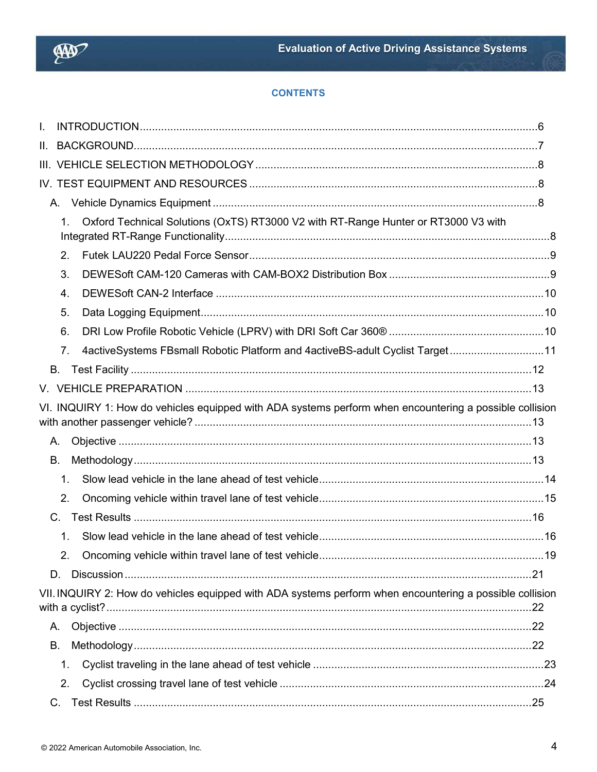

# **CONTENTS**

| I.                                                                                                       |  |
|----------------------------------------------------------------------------------------------------------|--|
| II.                                                                                                      |  |
|                                                                                                          |  |
|                                                                                                          |  |
|                                                                                                          |  |
| Oxford Technical Solutions (OxTS) RT3000 V2 with RT-Range Hunter or RT3000 V3 with<br>1.                 |  |
| 2.                                                                                                       |  |
| 3.                                                                                                       |  |
| 4.                                                                                                       |  |
| 5.                                                                                                       |  |
| 6.                                                                                                       |  |
| 4activeSystems FBsmall Robotic Platform and 4activeBS-adult Cyclist Target11<br>7 <sub>1</sub>           |  |
| B.                                                                                                       |  |
|                                                                                                          |  |
| VI. INQUIRY 1: How do vehicles equipped with ADA systems perform when encountering a possible collision  |  |
| Α.                                                                                                       |  |
| В.                                                                                                       |  |
| $1_{-}$                                                                                                  |  |
| 2.                                                                                                       |  |
| C.                                                                                                       |  |
| $\mathbf{1}$ .                                                                                           |  |
| 2.                                                                                                       |  |
| D.                                                                                                       |  |
| VII. INQUIRY 2: How do vehicles equipped with ADA systems perform when encountering a possible collision |  |
|                                                                                                          |  |
| В.                                                                                                       |  |
| 1.                                                                                                       |  |
| 2.                                                                                                       |  |
| C.                                                                                                       |  |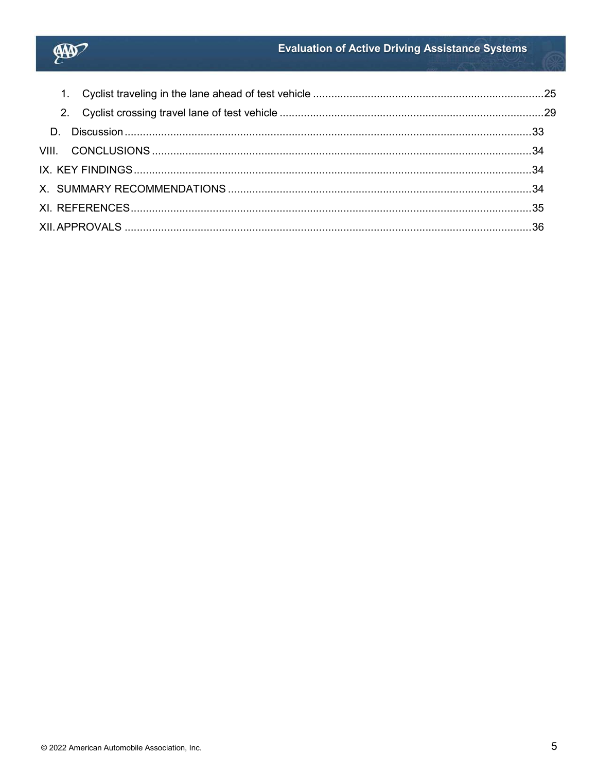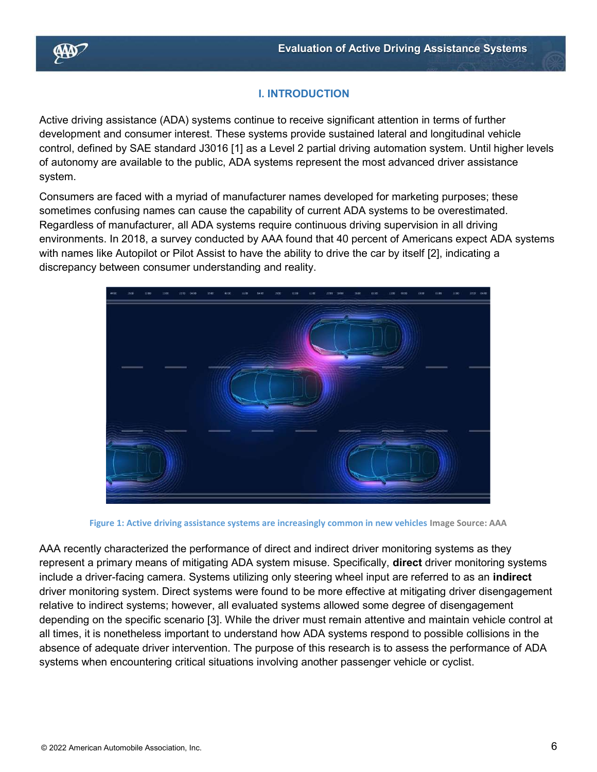

# I. INTRODUCTION

Active driving assistance (ADA) systems continue to receive significant attention in terms of further development and consumer interest. These systems provide sustained lateral and longitudinal vehicle control, defined by SAE standard J3016 [1] as a Level 2 partial driving automation system. Until higher levels of autonomy are available to the public, ADA systems represent the most advanced driver assistance system.

Consumers are faced with a myriad of manufacturer names developed for marketing purposes; these sometimes confusing names can cause the capability of current ADA systems to be overestimated. Regardless of manufacturer, all ADA systems require continuous driving supervision in all driving environments. In 2018, a survey conducted by AAA found that 40 percent of Americans expect ADA systems with names like Autopilot or Pilot Assist to have the ability to drive the car by itself [2], indicating a discrepancy between consumer understanding and reality.



Figure 1: Active driving assistance systems are increasingly common in new vehicles Image Source: AAA

AAA recently characterized the performance of direct and indirect driver monitoring systems as they represent a primary means of mitigating ADA system misuse. Specifically, **direct** driver monitoring systems include a driver-facing camera. Systems utilizing only steering wheel input are referred to as an indirect driver monitoring system. Direct systems were found to be more effective at mitigating driver disengagement relative to indirect systems; however, all evaluated systems allowed some degree of disengagement depending on the specific scenario [3]. While the driver must remain attentive and maintain vehicle control at all times, it is nonetheless important to understand how ADA systems respond to possible collisions in the absence of adequate driver intervention. The purpose of this research is to assess the performance of ADA systems when encountering critical situations involving another passenger vehicle or cyclist.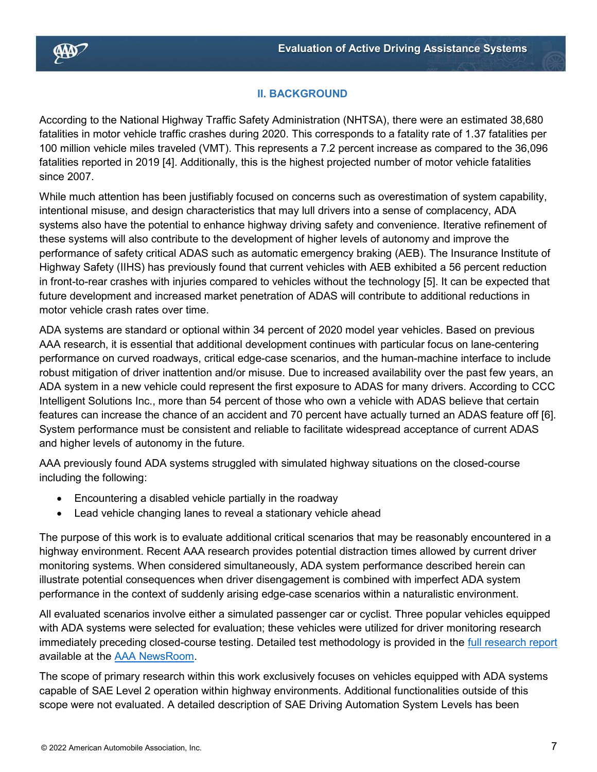

# II. BACKGROUND

According to the National Highway Traffic Safety Administration (NHTSA), there were an estimated 38,680 fatalities in motor vehicle traffic crashes during 2020. This corresponds to a fatality rate of 1.37 fatalities per 100 million vehicle miles traveled (VMT). This represents a 7.2 percent increase as compared to the 36,096 fatalities reported in 2019 [4]. Additionally, this is the highest projected number of motor vehicle fatalities since 2007.

While much attention has been justifiably focused on concerns such as overestimation of system capability, intentional misuse, and design characteristics that may lull drivers into a sense of complacency, ADA systems also have the potential to enhance highway driving safety and convenience. Iterative refinement of these systems will also contribute to the development of higher levels of autonomy and improve the performance of safety critical ADAS such as automatic emergency braking (AEB). The Insurance Institute of Highway Safety (IIHS) has previously found that current vehicles with AEB exhibited a 56 percent reduction in front-to-rear crashes with injuries compared to vehicles without the technology [5]. It can be expected that future development and increased market penetration of ADAS will contribute to additional reductions in motor vehicle crash rates over time.

ADA systems are standard or optional within 34 percent of 2020 model year vehicles. Based on previous AAA research, it is essential that additional development continues with particular focus on lane-centering performance on curved roadways, critical edge-case scenarios, and the human-machine interface to include robust mitigation of driver inattention and/or misuse. Due to increased availability over the past few years, an ADA system in a new vehicle could represent the first exposure to ADAS for many drivers. According to CCC Intelligent Solutions Inc., more than 54 percent of those who own a vehicle with ADAS believe that certain features can increase the chance of an accident and 70 percent have actually turned an ADAS feature off [6]. System performance must be consistent and reliable to facilitate widespread acceptance of current ADAS and higher levels of autonomy in the future.

AAA previously found ADA systems struggled with simulated highway situations on the closed-course including the following:

- Encountering a disabled vehicle partially in the roadway
- Lead vehicle changing lanes to reveal a stationary vehicle ahead

The purpose of this work is to evaluate additional critical scenarios that may be reasonably encountered in a highway environment. Recent AAA research provides potential distraction times allowed by current driver monitoring systems. When considered simultaneously, ADA system performance described herein can illustrate potential consequences when driver disengagement is combined with imperfect ADA system performance in the context of suddenly arising edge-case scenarios within a naturalistic environment.

All evaluated scenarios involve either a simulated passenger car or cyclist. Three popular vehicles equipped with ADA systems were selected for evaluation; these vehicles were utilized for driver monitoring research immediately preceding closed-course testing. Detailed test methodology is provided in the *full research report* available at the AAA NewsRoom.

The scope of primary research within this work exclusively focuses on vehicles equipped with ADA systems capable of SAE Level 2 operation within highway environments. Additional functionalities outside of this scope were not evaluated. A detailed description of SAE Driving Automation System Levels has been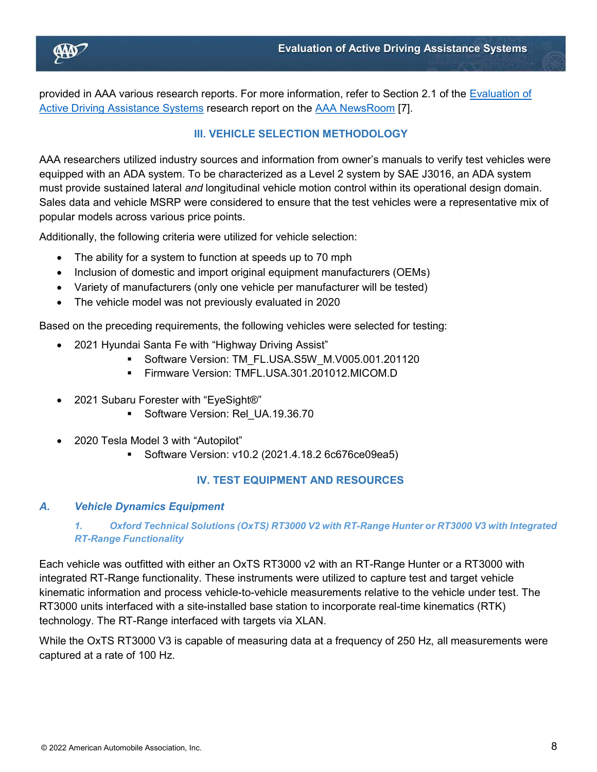provided in AAA various research reports. For more information, refer to Section 2.1 of the Evaluation of Active Driving Assistance Systems research report on the AAA NewsRoom [7].

## III. VEHICLE SELECTION METHODOLOGY

AAA researchers utilized industry sources and information from owner's manuals to verify test vehicles were equipped with an ADA system. To be characterized as a Level 2 system by SAE J3016, an ADA system must provide sustained lateral and longitudinal vehicle motion control within its operational design domain. Sales data and vehicle MSRP were considered to ensure that the test vehicles were a representative mix of popular models across various price points.

Additionally, the following criteria were utilized for vehicle selection:

- The ability for a system to function at speeds up to 70 mph
- Inclusion of domestic and import original equipment manufacturers (OEMs)
- Variety of manufacturers (only one vehicle per manufacturer will be tested)
- The vehicle model was not previously evaluated in 2020

Based on the preceding requirements, the following vehicles were selected for testing:

- 2021 Hyundai Santa Fe with "Highway Driving Assist"
	- Software Version: TM\_FL.USA.S5W\_M.V005.001.201120
	- Firmware Version: TMFL.USA.301.201012.MICOM.D
- 2021 Subaru Forester with "EyeSight®"
	- Software Version: Rel UA.19.36.70
- 2020 Tesla Model 3 with "Autopilot"
	- Software Version: v10.2 (2021.4.18.2 6c676ce09ea5)

## IV. TEST EQUIPMENT AND RESOURCES

#### A. Vehicle Dynamics Equipment

## 1. Oxford Technical Solutions (OxTS) RT3000 V2 with RT-Range Hunter or RT3000 V3 with Integrated RT-Range Functionality

Each vehicle was outfitted with either an OxTS RT3000 v2 with an RT-Range Hunter or a RT3000 with integrated RT-Range functionality. These instruments were utilized to capture test and target vehicle kinematic information and process vehicle-to-vehicle measurements relative to the vehicle under test. The RT3000 units interfaced with a site-installed base station to incorporate real-time kinematics (RTK) technology. The RT-Range interfaced with targets via XLAN.

While the OxTS RT3000 V3 is capable of measuring data at a frequency of 250 Hz, all measurements were captured at a rate of 100 Hz.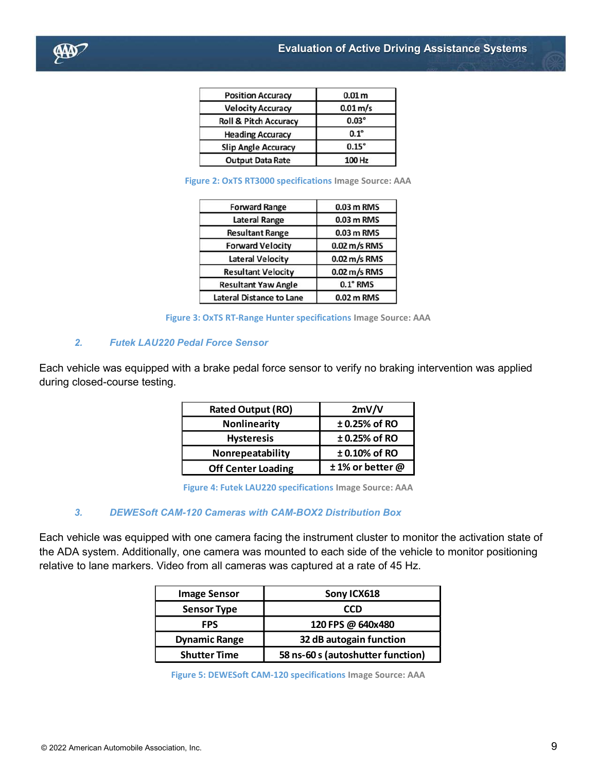

| <b>Position Accuracy</b>         | 0.01 m                |
|----------------------------------|-----------------------|
| <b>Velocity Accuracy</b>         | $0.01 \,\mathrm{m/s}$ |
| <b>Roll &amp; Pitch Accuracy</b> | $0.03^\circ$          |
| <b>Heading Accuracy</b>          | $0.1^\circ$           |
| <b>Slip Angle Accuracy</b>       | $0.15^\circ$          |
| <b>Output Data Rate</b>          | 100 Hz                |

Figure 2: OxTS RT3000 specifications Image Source: AAA

| <b>Lateral Range</b><br><b>Resultant Range</b>                                                                                                                                                   | 0.03 m RMS<br>0.03 m RMS |
|--------------------------------------------------------------------------------------------------------------------------------------------------------------------------------------------------|--------------------------|
| <b>Forward Velocity</b>                                                                                                                                                                          | 0.02 m/s RMS             |
| <b>Lateral Velocity</b>                                                                                                                                                                          | 0.02 m/s RMS             |
| <b>Resultant Velocity</b>                                                                                                                                                                        | 0.02 m/s RMS             |
| <b>Resultant Yaw Angle</b>                                                                                                                                                                       | $0.1^{\circ}$ RMS        |
|                                                                                                                                                                                                  |                          |
| <b>Lateral Distance to Lane</b>                                                                                                                                                                  | 0.02 m RMS               |
| : OxTS RT-Range Hunter specifications Image Source: AAA<br>Il Force Sensor<br>brake pedal force sensor to verify no braking intervention was applied<br><b>Rated Output (RO)</b><br>Nonlinearity | 2mV/V<br>± 0.25% of RO   |
| <b>Hysteresis</b>                                                                                                                                                                                | ± 0.25% of RO            |
| Nonrepeatability                                                                                                                                                                                 | ± 0.10% of RO            |

Figure 3: OxTS RT-Range Hunter specifications Image Source: AAA

#### 2. Futek LAU220 Pedal Force Sensor

Each vehicle was equipped with a brake pedal force sensor to verify no braking intervention was applied during closed-course testing.

| <b>Rated Output (RO)</b>  | 2mV/V              |
|---------------------------|--------------------|
| <b>Nonlinearity</b>       | $± 0.25%$ of RO    |
| <b>Hysteresis</b>         | $± 0.25%$ of RO    |
| Nonrepeatability          | $±0.10\%$ of RO    |
| <b>Off Center Loading</b> | $± 1%$ or better @ |

#### 3. DEWESoft CAM-120 Cameras with CAM-BOX2 Distribution Box

Each vehicle was equipped with one camera facing the instrument cluster to monitor the activation state of the ADA system. Additionally, one camera was mounted to each side of the vehicle to monitor positioning relative to lane markers. Video from all cameras was captured at a rate of 45 Hz.

| <b>Rated Output (RO)</b>           | 2mV/V                                                                                                                                                                                                                                                                                                    |
|------------------------------------|----------------------------------------------------------------------------------------------------------------------------------------------------------------------------------------------------------------------------------------------------------------------------------------------------------|
| <b>Nonlinearity</b>                | ± 0.25% of RO                                                                                                                                                                                                                                                                                            |
| <b>Hysteresis</b>                  | ± 0.25% of RO                                                                                                                                                                                                                                                                                            |
| Nonrepeatability                   | ± 0.10% of RO                                                                                                                                                                                                                                                                                            |
| <b>Off Center Loading</b>          | $± 1\%$ or better @                                                                                                                                                                                                                                                                                      |
| <b>Image Sensor</b>                | ft CAM-120 Cameras with CAM-BOX2 Distribution Box<br>ped with one camera facing the instrument cluster to monitor the activation state of<br>onally, one camera was mounted to each side of the vehicle to monitor positioning<br>Video from all cameras was captured at a rate of 45 Hz.<br>Sony ICX618 |
|                                    |                                                                                                                                                                                                                                                                                                          |
| <b>Sensor Type</b>                 | <b>CCD</b>                                                                                                                                                                                                                                                                                               |
| <b>FPS</b><br><b>Dynamic Range</b> | 120 FPS @ 640x480<br>32 dB autogain function                                                                                                                                                                                                                                                             |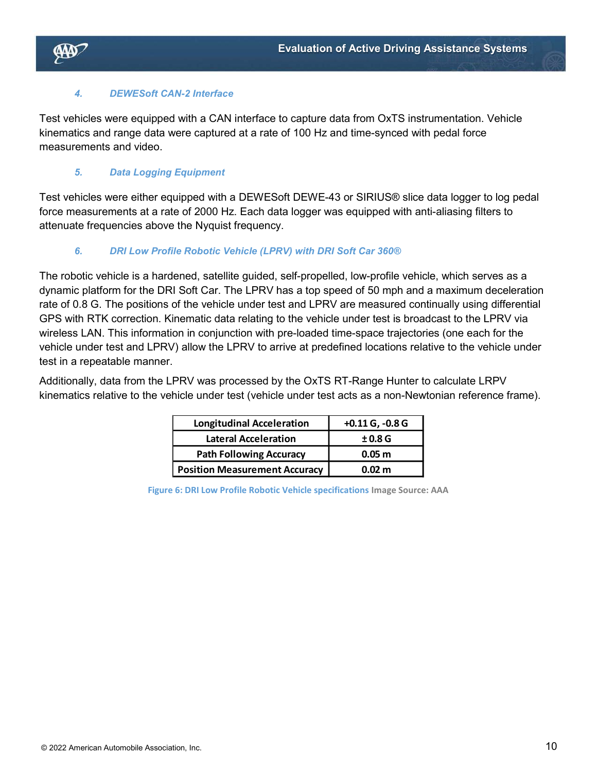

#### 4. DEWESoft CAN-2 Interface

Test vehicles were equipped with a CAN interface to capture data from OxTS instrumentation. Vehicle kinematics and range data were captured at a rate of 100 Hz and time-synced with pedal force measurements and video.

## 5. Data Logging Equipment

Test vehicles were either equipped with a DEWESoft DEWE-43 or SIRIUS® slice data logger to log pedal force measurements at a rate of 2000 Hz. Each data logger was equipped with anti-aliasing filters to attenuate frequencies above the Nyquist frequency.

### 6. DRI Low Profile Robotic Vehicle (LPRV) with DRI Soft Car 360®

The robotic vehicle is a hardened, satellite guided, self-propelled, low-profile vehicle, which serves as a dynamic platform for the DRI Soft Car. The LPRV has a top speed of 50 mph and a maximum deceleration rate of 0.8 G. The positions of the vehicle under test and LPRV are measured continually using differential GPS with RTK correction. Kinematic data relating to the vehicle under test is broadcast to the LPRV via wireless LAN. This information in conjunction with pre-loaded time-space trajectories (one each for the vehicle under test and LPRV) allow the LPRV to arrive at predefined locations relative to the vehicle under test in a repeatable manner. ed with a DEWESoft DEWE-43 or SIRIUS® slice data logger to log pedal<br>2000 Hz. Each data logger was equipped with anti-aliasing filters to<br>Nyquist frequency.<br>bbotic Vehicle (LPRV) with DRI Soft Car 360®<br>dies which serves as with a DEWESoft DEWE-43 or SIRIUS® slice data logger to log pedal<br>00 Hz. Each data logger was equipped with anti-aliasing filters to<br>00 Hz. Each data logger was equipped with anti-aliasing filters to<br>this virtual frequenc 2000 Hz. Each data logger was equipped with anti-aliasing filters to<br>
Nyquist frequency.<br>
botic Vehicle (LPRV) with DRI Soft Car 360®<br>
satellite guided, self-propelled, low-profile vehicle, which serves as a<br>
car. The LPR

Additionally, data from the LPRV was processed by the OxTS RT-Range Hunter to calculate LRPV kinematics relative to the vehicle under test (vehicle under test acts as a non-Newtonian reference frame).

| <b>Longitudinal Acceleration</b>     | $+0.11$ G, $-0.8$ G |
|--------------------------------------|---------------------|
| <b>Lateral Acceleration</b>          | $±0.8$ G            |
| <b>Path Following Accuracy</b>       | 0.05 <sub>m</sub>   |
| <b>Position Measurement Accuracy</b> | 0.02 m              |

Figure 6: DRI Low Profile Robotic Vehicle specifications Image Source: AAA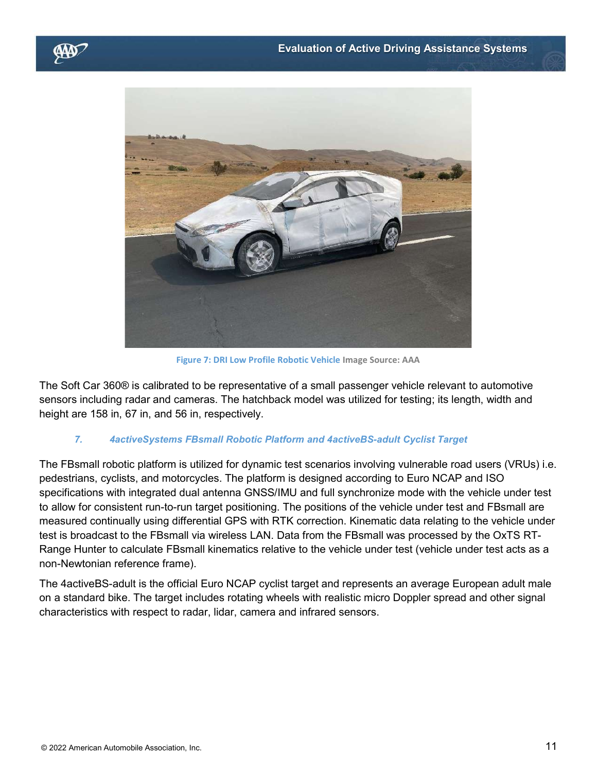



Figure 7: DRI Low Profile Robotic Vehicle Image Source: AAA

The Soft Car 360® is calibrated to be representative of a small passenger vehicle relevant to automotive sensors including radar and cameras. The hatchback model was utilized for testing; its length, width and height are 158 in, 67 in, and 56 in, respectively.

#### 7. 4activeSystems FBsmall Robotic Platform and 4activeBS-adult Cyclist Target

The FBsmall robotic platform is utilized for dynamic test scenarios involving vulnerable road users (VRUs) i.e. pedestrians, cyclists, and motorcycles. The platform is designed according to Euro NCAP and ISO specifications with integrated dual antenna GNSS/IMU and full synchronize mode with the vehicle under test to allow for consistent run-to-run target positioning. The positions of the vehicle under test and FBsmall are measured continually using differential GPS with RTK correction. Kinematic data relating to the vehicle under test is broadcast to the FBsmall via wireless LAN. Data from the FBsmall was processed by the OxTS RT-Range Hunter to calculate FBsmall kinematics relative to the vehicle under test (vehicle under test acts as a non-Newtonian reference frame).

The 4activeBS-adult is the official Euro NCAP cyclist target and represents an average European adult male on a standard bike. The target includes rotating wheels with realistic micro Doppler spread and other signal characteristics with respect to radar, lidar, camera and infrared sensors.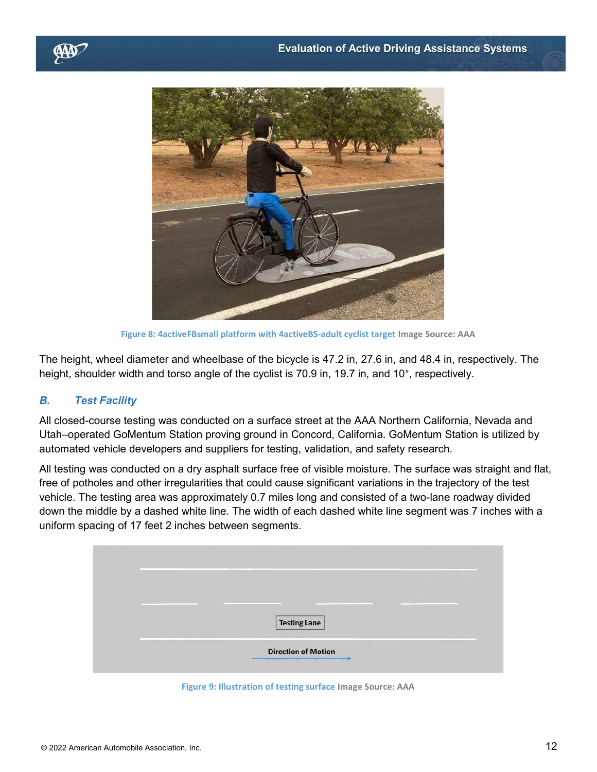



Figure 8: 4activeFBsmall platform with 4activeBS-adult cyclist target Image Source: AAA

The height, wheel diameter and wheelbase of the bicycle is 47.2 in, 27.6 in, and 48.4 in, respectively. The height, shoulder width and torso angle of the cyclist is 70.9 in, 19.7 in, and 10°, respectively.

## B. Test Facility

All closed-course testing was conducted on a surface street at the AAA Northern California, Nevada and Utah–operated GoMentum Station proving ground in Concord, California. GoMentum Station is utilized by automated vehicle developers and suppliers for testing, validation, and safety research.

All testing was conducted on a dry asphalt surface free of visible moisture. The surface was straight and flat, free of potholes and other irregularities that could cause significant variations in the trajectory of the test vehicle. The testing area was approximately 0.7 miles long and consisted of a two-lane roadway divided down the middle by a dashed white line. The width of each dashed white line segment was 7 inches with a uniform spacing of 17 feet 2 inches between segments.

|  | <b>Testing Lane</b>        |  |  |
|--|----------------------------|--|--|
|  | <b>Direction of Motion</b> |  |  |

Figure 9: Illustration of testing surface Image Source: AAA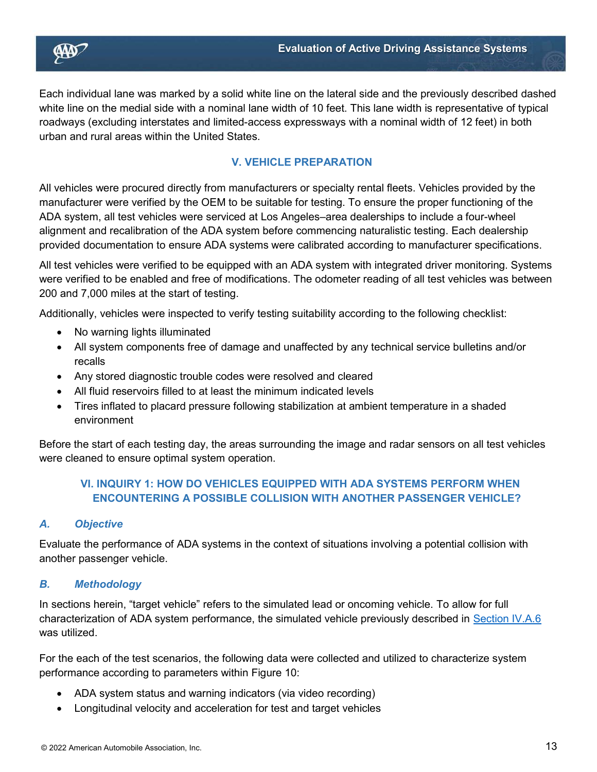

Each individual lane was marked by a solid white line on the lateral side and the previously described dashed white line on the medial side with a nominal lane width of 10 feet. This lane width is representative of typical roadways (excluding interstates and limited-access expressways with a nominal width of 12 feet) in both urban and rural areas within the United States.

# V. VEHICLE PREPARATION

All vehicles were procured directly from manufacturers or specialty rental fleets. Vehicles provided by the manufacturer were verified by the OEM to be suitable for testing. To ensure the proper functioning of the ADA system, all test vehicles were serviced at Los Angeles–area dealerships to include a four-wheel alignment and recalibration of the ADA system before commencing naturalistic testing. Each dealership provided documentation to ensure ADA systems were calibrated according to manufacturer specifications.

All test vehicles were verified to be equipped with an ADA system with integrated driver monitoring. Systems were verified to be enabled and free of modifications. The odometer reading of all test vehicles was between 200 and 7,000 miles at the start of testing.

Additionally, vehicles were inspected to verify testing suitability according to the following checklist:

- No warning lights illuminated
- All system components free of damage and unaffected by any technical service bulletins and/or recalls
- Any stored diagnostic trouble codes were resolved and cleared
- All fluid reservoirs filled to at least the minimum indicated levels
- Tires inflated to placard pressure following stabilization at ambient temperature in a shaded environment

Before the start of each testing day, the areas surrounding the image and radar sensors on all test vehicles were cleaned to ensure optimal system operation.

# VI. INQUIRY 1: HOW DO VEHICLES EQUIPPED WITH ADA SYSTEMS PERFORM WHEN ENCOUNTERING A POSSIBLE COLLISION WITH ANOTHER PASSENGER VEHICLE?

## A. Objective

Evaluate the performance of ADA systems in the context of situations involving a potential collision with another passenger vehicle.

#### B. Methodology

In sections herein, "target vehicle" refers to the simulated lead or oncoming vehicle. To allow for full characterization of ADA system performance, the simulated vehicle previously described in Section IV.A.6 was utilized.

For the each of the test scenarios, the following data were collected and utilized to characterize system performance according to parameters within Figure 10:

- ADA system status and warning indicators (via video recording)
- Longitudinal velocity and acceleration for test and target vehicles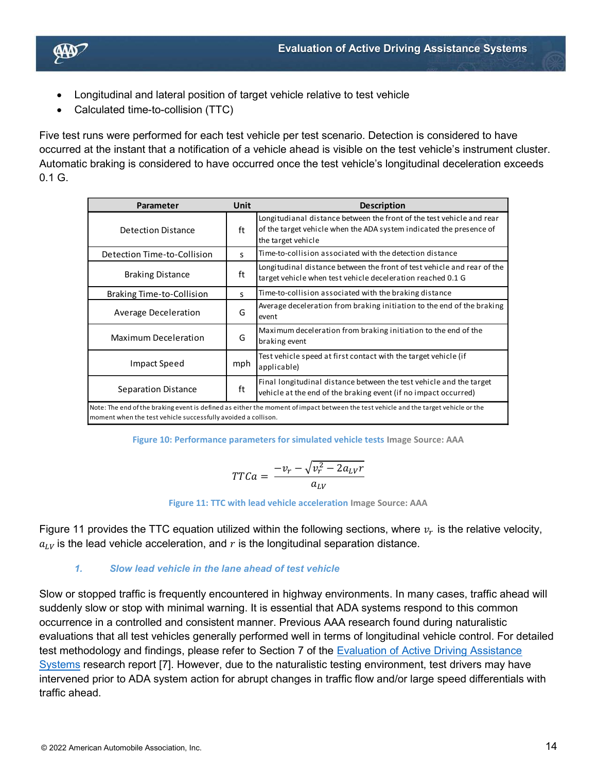

- Longitudinal and lateral position of target vehicle relative to test vehicle
- Calculated time-to-collision (TTC)

Five test runs were performed for each test vehicle per test scenario. Detection is considered to have occurred at the instant that a notification of a vehicle ahead is visible on the test vehicle's instrument cluster. Automatic braking is considered to have occurred once the test vehicle's longitudinal deceleration exceeds 0.1 G.

| ngitudinal and lateral position of target vehicle relative to test vehicle<br>Iculated time-to-collision (TTC)                                                                                                                                                                                                |
|---------------------------------------------------------------------------------------------------------------------------------------------------------------------------------------------------------------------------------------------------------------------------------------------------------------|
|                                                                                                                                                                                                                                                                                                               |
|                                                                                                                                                                                                                                                                                                               |
| uns were performed for each test vehicle per test scenario. Detection is considered to have<br>at the instant that a notification of a vehicle ahead is visible on the test vehicle's instrument cluster.<br>braking is considered to have occurred once the test vehicle's longitudinal deceleration exceeds |
|                                                                                                                                                                                                                                                                                                               |
| Parameter                                                                                                                                                                                                                                                                                                     |
| <b>Detection Distance</b>                                                                                                                                                                                                                                                                                     |
|                                                                                                                                                                                                                                                                                                               |
| <b>Braking Distance</b>                                                                                                                                                                                                                                                                                       |
| Braking Time-to-Collision                                                                                                                                                                                                                                                                                     |
| <b>Average Deceleration</b>                                                                                                                                                                                                                                                                                   |
| Detection Time-to-Collision<br><b>Maximum Deceleration</b>                                                                                                                                                                                                                                                    |
| <b>Impact Speed</b>                                                                                                                                                                                                                                                                                           |

$$
TTCa = \frac{-v_r - \sqrt{v_r^2 - 2a_{LV}r}}{a_{LV}}
$$

Figure 11: TTC with lead vehicle acceleration Image Source: AAA

Figure 11 provides the TTC equation utilized within the following sections, where  $v_r$  is the relative velocity,  $a_{\mu\nu}$  is the lead vehicle acceleration, and r is the longitudinal separation distance.

#### 1. Slow lead vehicle in the lane ahead of test vehicle

Slow or stopped traffic is frequently encountered in highway environments. In many cases, traffic ahead will suddenly slow or stop with minimal warning. It is essential that ADA systems respond to this common occurrence in a controlled and consistent manner. Previous AAA research found during naturalistic evaluations that all test vehicles generally performed well in terms of longitudinal vehicle control. For detailed test methodology and findings, please refer to Section 7 of the Evaluation of Active Driving Assistance Systems research report [7]. However, due to the naturalistic testing environment, test drivers may have intervened prior to ADA system action for abrupt changes in traffic flow and/or large speed differentials with traffic ahead.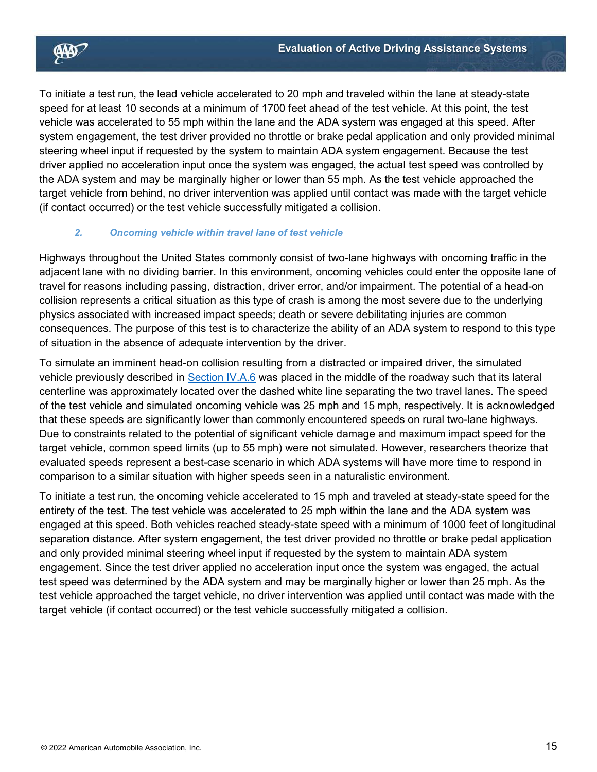

To initiate a test run, the lead vehicle accelerated to 20 mph and traveled within the lane at steady-state speed for at least 10 seconds at a minimum of 1700 feet ahead of the test vehicle. At this point, the test vehicle was accelerated to 55 mph within the lane and the ADA system was engaged at this speed. After system engagement, the test driver provided no throttle or brake pedal application and only provided minimal steering wheel input if requested by the system to maintain ADA system engagement. Because the test driver applied no acceleration input once the system was engaged, the actual test speed was controlled by the ADA system and may be marginally higher or lower than 55 mph. As the test vehicle approached the target vehicle from behind, no driver intervention was applied until contact was made with the target vehicle (if contact occurred) or the test vehicle successfully mitigated a collision.

## 2. Oncoming vehicle within travel lane of test vehicle

Highways throughout the United States commonly consist of two-lane highways with oncoming traffic in the adjacent lane with no dividing barrier. In this environment, oncoming vehicles could enter the opposite lane of travel for reasons including passing, distraction, driver error, and/or impairment. The potential of a head-on collision represents a critical situation as this type of crash is among the most severe due to the underlying physics associated with increased impact speeds; death or severe debilitating injuries are common consequences. The purpose of this test is to characterize the ability of an ADA system to respond to this type of situation in the absence of adequate intervention by the driver.

To simulate an imminent head-on collision resulting from a distracted or impaired driver, the simulated vehicle previously described in Section IV.A.6 was placed in the middle of the roadway such that its lateral centerline was approximately located over the dashed white line separating the two travel lanes. The speed of the test vehicle and simulated oncoming vehicle was 25 mph and 15 mph, respectively. It is acknowledged that these speeds are significantly lower than commonly encountered speeds on rural two-lane highways. Due to constraints related to the potential of significant vehicle damage and maximum impact speed for the target vehicle, common speed limits (up to 55 mph) were not simulated. However, researchers theorize that evaluated speeds represent a best-case scenario in which ADA systems will have more time to respond in comparison to a similar situation with higher speeds seen in a naturalistic environment.

To initiate a test run, the oncoming vehicle accelerated to 15 mph and traveled at steady-state speed for the entirety of the test. The test vehicle was accelerated to 25 mph within the lane and the ADA system was engaged at this speed. Both vehicles reached steady-state speed with a minimum of 1000 feet of longitudinal separation distance. After system engagement, the test driver provided no throttle or brake pedal application and only provided minimal steering wheel input if requested by the system to maintain ADA system engagement. Since the test driver applied no acceleration input once the system was engaged, the actual test speed was determined by the ADA system and may be marginally higher or lower than 25 mph. As the test vehicle approached the target vehicle, no driver intervention was applied until contact was made with the target vehicle (if contact occurred) or the test vehicle successfully mitigated a collision.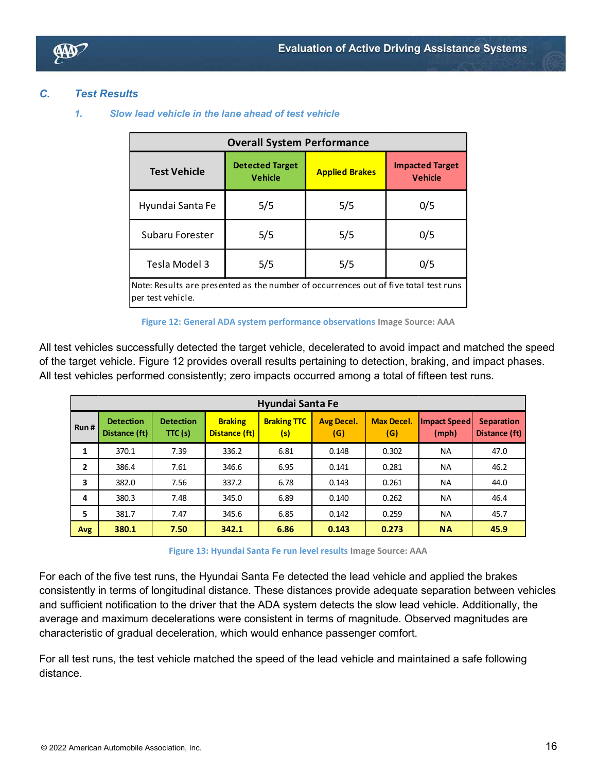

#### 1. Slow lead vehicle in the lane ahead of test vehicle

|                                                                                                           |                                          |                       | <b>Evaluation of Active Driving Assistance Systems</b> |
|-----------------------------------------------------------------------------------------------------------|------------------------------------------|-----------------------|--------------------------------------------------------|
| ts                                                                                                        |                                          |                       |                                                        |
| v lead vehicle in the lane ahead of test vehicle                                                          | <b>Overall System Performance</b>        |                       |                                                        |
| <b>Test Vehicle</b>                                                                                       | <b>Detected Target</b><br><b>Vehicle</b> | <b>Applied Brakes</b> | <b>Impacted Target</b><br><b>Vehicle</b>               |
| Hyundai Santa Fe                                                                                          | 5/5                                      | 5/5                   | 0/5                                                    |
| Subaru Forester                                                                                           | 5/5                                      | 5/5                   | 0/5                                                    |
| Tesla Model 3                                                                                             | 5/5                                      | 5/5                   | 0/5                                                    |
| Note: Results are presented as the number of occurrences out of five total test runs<br>per test vehicle. |                                          |                       |                                                        |
| Figure 12: General ADA system performance observations Image Source: AAA                                  |                                          |                       |                                                        |

All test vehicles successfully detected the target vehicle, decelerated to avoid impact and matched the speed of the target vehicle. Figure 12 provides overall results pertaining to detection, braking, and impact phases. All test vehicles performed consistently; zero impacts occurred among a total of fifteen test runs.

|              |                                   | Hyundai Santa Fe           |                                                                                      | 5/ J                      | 3/3                      |       | U/ J                                                                                                                                                                                                                                                                                                         |                                    |
|--------------|-----------------------------------|----------------------------|--------------------------------------------------------------------------------------|---------------------------|--------------------------|-------|--------------------------------------------------------------------------------------------------------------------------------------------------------------------------------------------------------------------------------------------------------------------------------------------------------------|------------------------------------|
|              |                                   | Subaru Forester            |                                                                                      | 5/5                       | 5/5                      |       | 0/5                                                                                                                                                                                                                                                                                                          |                                    |
|              |                                   | Tesla Model 3              |                                                                                      | 5/5                       | 5/5                      |       | 0/5                                                                                                                                                                                                                                                                                                          |                                    |
|              |                                   | per test vehicle.          | Note: Results are presented as the number of occurrences out of five total test runs |                           |                          |       |                                                                                                                                                                                                                                                                                                              |                                    |
|              |                                   |                            | Figure 12: General ADA system performance observations Image Source: AAA             |                           |                          |       |                                                                                                                                                                                                                                                                                                              |                                    |
|              |                                   |                            |                                                                                      |                           |                          |       | vehicles successfully detected the target vehicle, decelerated to avoid impact and matched the speed<br>arget vehicle. Figure 12 provides overall results pertaining to detection, braking, and impact phases.<br>vehicles performed consistently; zero impacts occurred among a total of fifteen test runs. |                                    |
|              |                                   |                            |                                                                                      | Hyundai Santa Fe          |                          |       |                                                                                                                                                                                                                                                                                                              |                                    |
| Run#         | <b>Detection</b><br>Distance (ft) | <b>Detection</b><br>TTC(s) | <b>Braking</b><br>Distance (ft)                                                      | <b>Braking TTC</b><br>(s) | <b>Avg Decel.</b><br>(G) | (G)   | <b>Max Decel.</b> Impact Speed<br>(mph)                                                                                                                                                                                                                                                                      | <b>Separation</b><br>Distance (ft) |
| $\mathbf{1}$ | 370.1                             | 7.39                       | 336.2                                                                                | 6.81                      | 0.148                    | 0.302 | ΝA                                                                                                                                                                                                                                                                                                           | 47.0                               |
| $\mathbf{2}$ | 386.4                             | 7.61                       | 346.6                                                                                | 6.95                      | 0.141                    | 0.281 | ΝA                                                                                                                                                                                                                                                                                                           | 46.2                               |
| 3            | 382.0                             | 7.56                       | 337.2                                                                                | 6.78                      | 0.143                    | 0.261 | NA                                                                                                                                                                                                                                                                                                           | 44.0                               |
| 4            | 380.3                             | 7.48                       | 345.0                                                                                | 6.89                      | 0.140                    | 0.262 | <b>NA</b>                                                                                                                                                                                                                                                                                                    | 46.4                               |
| 5            | 381.7                             | 7.47                       | 345.6                                                                                | 6.85                      | 0.142                    | 0.259 | NA                                                                                                                                                                                                                                                                                                           | 45.7                               |
| Avg          | 380.1                             | 7.50                       | 342.1                                                                                | 6.86                      | 0.143                    | 0.273 | <b>NA</b>                                                                                                                                                                                                                                                                                                    | 45.9                               |
|              |                                   |                            |                                                                                      |                           |                          |       |                                                                                                                                                                                                                                                                                                              |                                    |
|              |                                   |                            | Figure 13: Hyundai Santa Fe run level results Image Source: AAA                      |                           |                          |       | ch of the five test runs, the Hyundai Santa Fe detected the lead vehicle and applied the brakes                                                                                                                                                                                                              |                                    |

For each of the five test runs, the Hyundai Santa Fe detected the lead vehicle and applied the brakes consistently in terms of longitudinal distance. These distances provide adequate separation between vehicles and sufficient notification to the driver that the ADA system detects the slow lead vehicle. Additionally, the average and maximum decelerations were consistent in terms of magnitude. Observed magnitudes are characteristic of gradual deceleration, which would enhance passenger comfort.

For all test runs, the test vehicle matched the speed of the lead vehicle and maintained a safe following distance.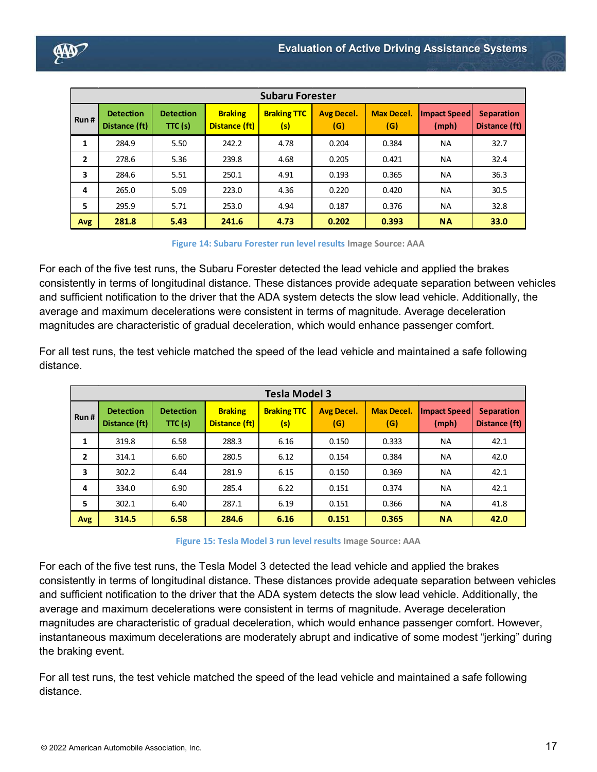| $\bm{\nabla}$ |                                   |                            |                                 |                           |                          |                                                                | <b>Evaluation of Active Driving Assistance Systems</b> |                                    |
|---------------|-----------------------------------|----------------------------|---------------------------------|---------------------------|--------------------------|----------------------------------------------------------------|--------------------------------------------------------|------------------------------------|
|               |                                   |                            |                                 |                           |                          |                                                                |                                                        |                                    |
|               |                                   |                            |                                 |                           |                          |                                                                |                                                        |                                    |
|               |                                   |                            |                                 | <b>Subaru Forester</b>    |                          |                                                                |                                                        |                                    |
| Run#          | <b>Detection</b><br>Distance (ft) | <b>Detection</b><br>TTC(s) | <b>Braking</b><br>Distance (ft) | <b>Braking TTC</b><br>(s) | <b>Avg Decel.</b><br>(G) | (G)                                                            | Max Decel.   Impact Speed<br>(mph)                     | <b>Separation</b><br>Distance (ft) |
| 1             | 284.9                             | 5.50                       | 242.2                           | 4.78                      | 0.204                    | 0.384                                                          | NA                                                     | 32.7                               |
| $\mathbf{2}$  | 278.6                             | 5.36                       | 239.8                           | 4.68                      | 0.205                    | 0.421                                                          | ΝA                                                     | 32.4                               |
| 3             | 284.6                             | 5.51                       | 250.1                           | 4.91                      | 0.193                    | 0.365                                                          | <b>NA</b>                                              | 36.3                               |
| 4             | 265.0                             | 5.09                       | 223.0                           | 4.36                      | 0.220                    | 0.420                                                          | <b>NA</b>                                              | 30.5                               |
|               | 295.9                             | 5.71                       | 253.0                           | 4.94                      | 0.187                    | 0.376                                                          | <b>NA</b>                                              | 32.8                               |
| 5             |                                   | 5.43                       | 241.6                           | 4.73                      | 0.202                    | 0.393                                                          | <b>NA</b>                                              | 33.0                               |
| Avg           | 281.8                             |                            |                                 |                           |                          | Figure 14: Subaru Forester run level results Image Source: AAA |                                                        |                                    |

For each of the five test runs, the Subaru Forester detected the lead vehicle and applied the brakes consistently in terms of longitudinal distance. These distances provide adequate separation between vehicles and sufficient notification to the driver that the ADA system detects the slow lead vehicle. Additionally, the average and maximum decelerations were consistent in terms of magnitude. Average deceleration magnitudes are characteristic of gradual deceleration, which would enhance passenger comfort.

For all test runs, the test vehicle matched the speed of the lead vehicle and maintained a safe following distance.

| 5            | 295.9                                                                                                   | 5.71             | 253.0                                                          | 4.94                 | 0.187             | 0.376            | NA.          | 32.8              |
|--------------|---------------------------------------------------------------------------------------------------------|------------------|----------------------------------------------------------------|----------------------|-------------------|------------------|--------------|-------------------|
| <b>Avg</b>   | 281.8                                                                                                   | 5.43             | 241.6                                                          | 4.73                 | 0.202             | 0.393            | <b>NA</b>    | 33.0              |
|              |                                                                                                         |                  | Figure 14: Subaru Forester run level results Image Source: AAA |                      |                   |                  |              |                   |
|              |                                                                                                         |                  |                                                                |                      |                   |                  |              |                   |
|              | h of the five test runs, the Subaru Forester detected the lead vehicle and applied the brakes           |                  |                                                                |                      |                   |                  |              |                   |
|              | ently in terms of longitudinal distance. These distances provide adequate separation between vehicles   |                  |                                                                |                      |                   |                  |              |                   |
|              | ficient notification to the driver that the ADA system detects the slow lead vehicle. Additionally, the |                  |                                                                |                      |                   |                  |              |                   |
|              | e and maximum decelerations were consistent in terms of magnitude. Average deceleration                 |                  |                                                                |                      |                   |                  |              |                   |
|              | des are characteristic of gradual deceleration, which would enhance passenger comfort.                  |                  |                                                                |                      |                   |                  |              |                   |
|              | test runs, the test vehicle matched the speed of the lead vehicle and maintained a safe following       |                  |                                                                |                      |                   |                  |              |                   |
| е.           |                                                                                                         |                  |                                                                |                      |                   |                  |              |                   |
|              |                                                                                                         |                  |                                                                |                      |                   |                  |              |                   |
|              |                                                                                                         |                  |                                                                | <b>Tesla Model 3</b> |                   |                  |              |                   |
| Run#         | <b>Detection</b>                                                                                        | <b>Detection</b> | <b>Braking</b>                                                 | <b>Braking TTC</b>   | <b>Avg Decel.</b> | <b>Max Decel</b> | Impact Speed | <b>Separation</b> |
|              | Distance (ft)                                                                                           | TTC(s)           | Distance (ft)                                                  | (s)                  | (G)               | (G)              | (mph)        | Distance (ft)     |
| 1            | 319.8                                                                                                   | 6.58             | 288.3                                                          | 6.16                 | 0.150             | 0.333            | <b>NA</b>    | 42.1              |
| $\mathbf{2}$ | 314.1                                                                                                   | 6.60             | 280.5                                                          | 6.12                 | 0.154             | 0.384            | <b>NA</b>    | 42.0              |
| 3            | 302.2                                                                                                   | 6.44             | 281.9                                                          | 6.15                 | 0.150             | 0.369            | NA.          | 42.1              |
| 4            | 334.0                                                                                                   | 6.90             | 285.4                                                          | 6.22                 | 0.151             | 0.374            | <b>NA</b>    | 42.1              |
| 5            | 302.1                                                                                                   | 6.40             | 287.1                                                          | 6.19                 | 0.151             | 0.366            | ΝA           | 41.8              |
| <b>Avg</b>   | 314.5                                                                                                   | 6.58             | 284.6                                                          | 6.16                 | 0.151             | 0.365            | <b>NA</b>    | 42.0              |
|              |                                                                                                         |                  | Figure 15: Tesla Model 3 run level results Image Source: AAA   |                      |                   |                  |              |                   |
|              |                                                                                                         |                  |                                                                |                      |                   |                  |              |                   |
|              | h of the five test runs, the Tesla Model 3 detected the lead vehicle and applied the brakes             |                  |                                                                |                      |                   |                  |              |                   |
|              | ently in terms of longitudinal distance. These distances provide adequate separation between vehicles   |                  |                                                                |                      |                   |                  |              |                   |
|              | <u>te e de de anos de decadas a de actor de la de</u>                                                   |                  |                                                                |                      |                   |                  |              |                   |

For each of the five test runs, the Tesla Model 3 detected the lead vehicle and applied the brakes consistently in terms of longitudinal distance. These distances provide adequate separation between vehicles and sufficient notification to the driver that the ADA system detects the slow lead vehicle. Additionally, the average and maximum decelerations were consistent in terms of magnitude. Average deceleration magnitudes are characteristic of gradual deceleration, which would enhance passenger comfort. However, instantaneous maximum decelerations are moderately abrupt and indicative of some modest "jerking" during the braking event.

For all test runs, the test vehicle matched the speed of the lead vehicle and maintained a safe following distance.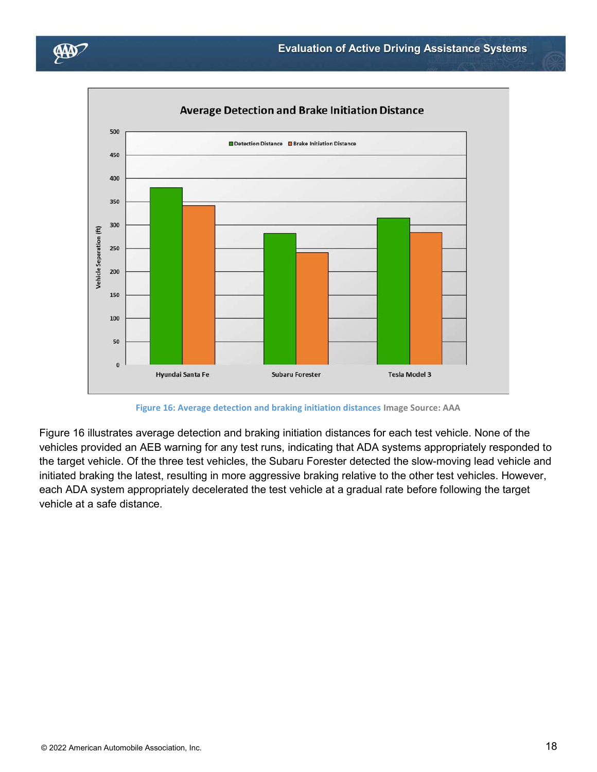



Figure 16: Average detection and braking initiation distances Image Source: AAA

Figure 16 illustrates average detection and braking initiation distances for each test vehicle. None of the vehicles provided an AEB warning for any test runs, indicating that ADA systems appropriately responded to the target vehicle. Of the three test vehicles, the Subaru Forester detected the slow-moving lead vehicle and initiated braking the latest, resulting in more aggressive braking relative to the other test vehicles. However, each ADA system appropriately decelerated the test vehicle at a gradual rate before following the target vehicle at a safe distance.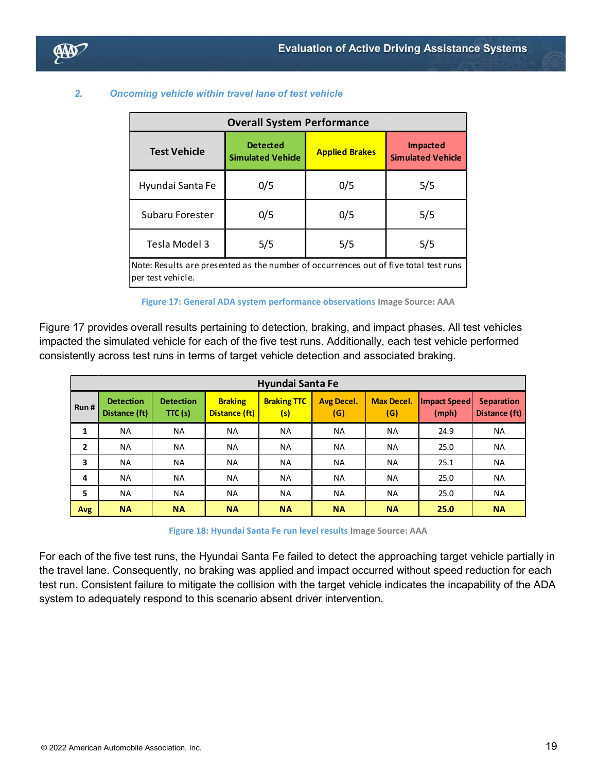

| oming vehicle within travel lane of test vehicle                                                                                                                                      |                                             |                       | <b>Evaluation of Active Driving Assistance Systems</b> |
|---------------------------------------------------------------------------------------------------------------------------------------------------------------------------------------|---------------------------------------------|-----------------------|--------------------------------------------------------|
|                                                                                                                                                                                       | <b>Overall System Performance</b>           |                       |                                                        |
| <b>Test Vehicle</b>                                                                                                                                                                   | <b>Detected</b><br><b>Simulated Vehicle</b> | <b>Applied Brakes</b> | <b>Impacted</b><br><b>Simulated Vehicle</b>            |
| Hyundai Santa Fe                                                                                                                                                                      | 0/5                                         | 0/5                   | 5/5                                                    |
| Subaru Forester                                                                                                                                                                       | 0/5                                         | 0/5                   | 5/5                                                    |
| Tesla Model 3                                                                                                                                                                         | 5/5                                         | 5/5                   | 5/5                                                    |
| Note: Results are presented as the number of occurrences out of five total test runs<br>per test vehicle.<br>Figure 17: General ADA system performance observations Image Source: AAA |                                             |                       |                                                        |

## 2. Oncoming vehicle within travel lane of test vehicle

Figure 17 provides overall results pertaining to detection, braking, and impact phases. All test vehicles impacted the simulated vehicle for each of the five test runs. Additionally, each test vehicle performed consistently across test runs in terms of target vehicle detection and associated braking.

|                                   | Hyundai Santa Fe           |                                 | U/ J                             | U/J                      |                          | 5/ J  |                                                                                                                                                                                                                                                                                                                                                                                                                                                                                     |
|-----------------------------------|----------------------------|---------------------------------|----------------------------------|--------------------------|--------------------------|-------|-------------------------------------------------------------------------------------------------------------------------------------------------------------------------------------------------------------------------------------------------------------------------------------------------------------------------------------------------------------------------------------------------------------------------------------------------------------------------------------|
|                                   |                            |                                 |                                  | 0/5                      |                          | 5/5   |                                                                                                                                                                                                                                                                                                                                                                                                                                                                                     |
|                                   |                            |                                 |                                  | 5/5                      |                          | 5/5   |                                                                                                                                                                                                                                                                                                                                                                                                                                                                                     |
|                                   |                            |                                 |                                  |                          |                          |       |                                                                                                                                                                                                                                                                                                                                                                                                                                                                                     |
|                                   |                            |                                 |                                  |                          |                          |       |                                                                                                                                                                                                                                                                                                                                                                                                                                                                                     |
|                                   |                            |                                 |                                  |                          |                          |       |                                                                                                                                                                                                                                                                                                                                                                                                                                                                                     |
|                                   |                            |                                 |                                  |                          |                          |       |                                                                                                                                                                                                                                                                                                                                                                                                                                                                                     |
| <b>Detection</b><br>Distance (ft) | <b>Detection</b><br>TTC(s) | <b>Braking</b><br>Distance (ft) | <b>Braking TTC</b><br>(s)        | <b>Avg Decel.</b><br>(G) | <b>Max Decel.</b><br>(G) | (mph) | <b>Separation</b><br>Distance (ft)                                                                                                                                                                                                                                                                                                                                                                                                                                                  |
| <b>NA</b>                         | <b>NA</b>                  | <b>NA</b>                       | <b>NA</b>                        | NA                       | <b>NA</b>                | 24.9  | <b>NA</b>                                                                                                                                                                                                                                                                                                                                                                                                                                                                           |
| NA                                | NA.                        | NA                              | ΝA                               | NA                       | ΝA                       | 25.0  | NA                                                                                                                                                                                                                                                                                                                                                                                                                                                                                  |
| ΝA                                | ΝA                         | <b>NA</b>                       | ΝA                               | NA                       | <b>NA</b>                | 25.1  | NA                                                                                                                                                                                                                                                                                                                                                                                                                                                                                  |
|                                   |                            |                                 |                                  |                          | ΝA                       | 25.0  | <b>NA</b>                                                                                                                                                                                                                                                                                                                                                                                                                                                                           |
| <b>NA</b>                         | <b>NA</b>                  | <b>NA</b>                       | ΝA                               | <b>NA</b>                |                          |       |                                                                                                                                                                                                                                                                                                                                                                                                                                                                                     |
| ΝA                                | ΝA                         | NA                              | ΝA                               | NA                       | <b>NA</b>                | 25.0  | NA                                                                                                                                                                                                                                                                                                                                                                                                                                                                                  |
| <b>NA</b>                         | <b>NA</b>                  | <b>NA</b>                       | <b>NA</b>                        | <b>NA</b>                | <b>NA</b>                | 25.0  | <b>NA</b>                                                                                                                                                                                                                                                                                                                                                                                                                                                                           |
|                                   |                            | per test vehicle.               | Subaru Forester<br>Tesla Model 3 | 0/5<br>5/5               | Hyundai Santa Fe         |       | Note: Results are presented as the number of occurrences out of five total test runs<br>Figure 17: General ADA system performance observations Image Source: AAA<br>17 provides overall results pertaining to detection, braking, and impact phases. All test vehicles<br>ed the simulated vehicle for each of the five test runs. Additionally, each test vehicle performed<br>ently across test runs in terms of target vehicle detection and associated braking.<br>Impact Speed |

For each of the five test runs, the Hyundai Santa Fe failed to detect the approaching target vehicle partially in the travel lane. Consequently, no braking was applied and impact occurred without speed reduction for each test run. Consistent failure to mitigate the collision with the target vehicle indicates the incapability of the ADA system to adequately respond to this scenario absent driver intervention.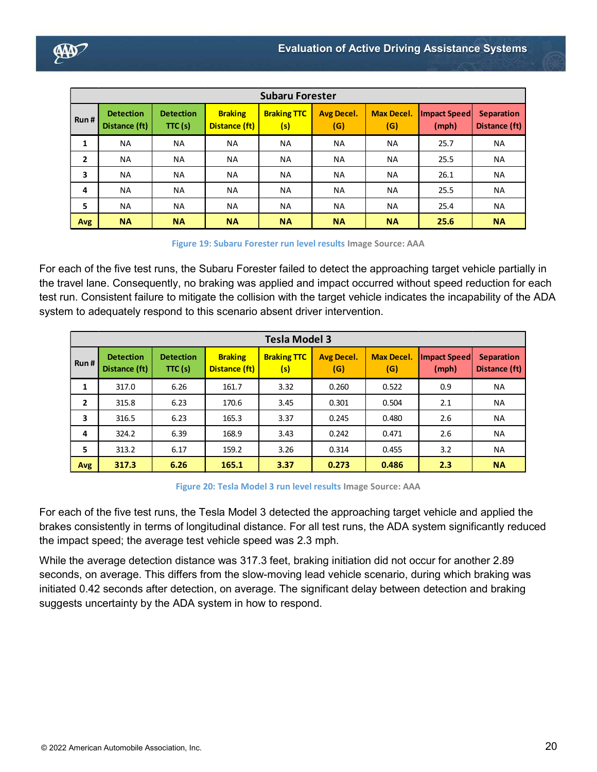

| $\bm{\nabla}$ |                                   |                            |                                 |                           |                          |                          |                                                        |                                    |
|---------------|-----------------------------------|----------------------------|---------------------------------|---------------------------|--------------------------|--------------------------|--------------------------------------------------------|------------------------------------|
|               |                                   |                            |                                 |                           |                          |                          |                                                        |                                    |
|               |                                   |                            |                                 |                           |                          |                          |                                                        |                                    |
|               |                                   |                            |                                 |                           |                          |                          |                                                        |                                    |
|               |                                   |                            |                                 |                           |                          |                          |                                                        |                                    |
|               |                                   |                            |                                 |                           |                          |                          | <b>Evaluation of Active Driving Assistance Systems</b> |                                    |
|               |                                   |                            |                                 |                           |                          |                          |                                                        |                                    |
|               |                                   |                            |                                 | <b>Subaru Forester</b>    |                          |                          |                                                        |                                    |
| Run#          | <b>Detection</b><br>Distance (ft) | <b>Detection</b><br>TTC(s) | <b>Braking</b><br>Distance (ft) | <b>Braking TTC</b><br>(s) | <b>Avg Decel.</b><br>(G) | <b>Max Decel.</b><br>(G) | Impact Speed<br>(mph)                                  | <b>Separation</b><br>Distance (ft) |
|               |                                   |                            |                                 | NA                        | NA                       | NA                       | 25.7                                                   | <b>NA</b>                          |
| $\mathbf{1}$  | NA                                | NA                         | NA                              |                           |                          |                          |                                                        |                                    |
| $\mathbf{2}$  | NA                                | ΝA                         | <b>NA</b>                       | NA                        | <b>NA</b>                | ΝA                       | 25.5                                                   | NA                                 |
| $\mathbf{3}$  | <b>NA</b>                         | NA                         | <b>NA</b>                       | NA                        | <b>NA</b>                | <b>NA</b>                | 26.1                                                   | <b>NA</b>                          |
| 4             | NA                                | NA                         | <b>NA</b>                       | NA                        | NA                       | NA                       | 25.5                                                   | <b>NA</b>                          |
| 5             | <b>NA</b>                         | NA                         | NA                              | NA                        | <b>NA</b>                | <b>NA</b>                | 25.4                                                   | <b>NA</b>                          |

For each of the five test runs, the Subaru Forester failed to detect the approaching target vehicle partially in the travel lane. Consequently, no braking was applied and impact occurred without speed reduction for each test run. Consistent failure to mitigate the collision with the target vehicle indicates the incapability of the ADA system to adequately respond to this scenario absent driver intervention.

| NA.                                       | ΝA                         | NA.                             | ΝA                        | NA                       | ΝA        | 25.7                                                               | NA.                                                                                                                                                                                                                                                                                                                                                                                                  |
|-------------------------------------------|----------------------------|---------------------------------|---------------------------|--------------------------|-----------|--------------------------------------------------------------------|------------------------------------------------------------------------------------------------------------------------------------------------------------------------------------------------------------------------------------------------------------------------------------------------------------------------------------------------------------------------------------------------------|
| <b>NA</b>                                 | NA                         | NA                              | NA                        | <b>NA</b>                | <b>NA</b> | 25.5                                                               | <b>NA</b>                                                                                                                                                                                                                                                                                                                                                                                            |
| NA                                        | ΝA                         | NA                              | ΝA                        | NA                       | NA        | 26.1                                                               | NA                                                                                                                                                                                                                                                                                                                                                                                                   |
| <b>NA</b>                                 | NA                         | <b>NA</b>                       | <b>NA</b>                 | <b>NA</b>                | <b>NA</b> | 25.5                                                               | <b>NA</b>                                                                                                                                                                                                                                                                                                                                                                                            |
| NA                                        | NA                         | <b>NA</b>                       | <b>NA</b>                 | NA                       | <b>NA</b> | 25.4                                                               | <b>NA</b>                                                                                                                                                                                                                                                                                                                                                                                            |
| <b>NA</b>                                 | <b>NA</b>                  | <b>NA</b>                       | <b>NA</b>                 | <b>NA</b>                | <b>NA</b> | 25.6                                                               | <b>NA</b>                                                                                                                                                                                                                                                                                                                                                                                            |
|                                           |                            |                                 |                           |                          |           |                                                                    |                                                                                                                                                                                                                                                                                                                                                                                                      |
|                                           |                            |                                 |                           |                          |           |                                                                    |                                                                                                                                                                                                                                                                                                                                                                                                      |
|                                           |                            |                                 | <b>Tesla Model 3</b>      |                          |           |                                                                    |                                                                                                                                                                                                                                                                                                                                                                                                      |
| <b>Detection</b><br>Run#<br>Distance (ft) | <b>Detection</b><br>TTC(s) | <b>Braking</b><br>Distance (ft) | <b>Braking TTC</b><br>(s) | <b>Avg Decel.</b><br>(G) | (G)       | <b>Max Decel.</b> Impact Speed<br>(mph)                            | <b>Separation</b><br>Distance (ft)                                                                                                                                                                                                                                                                                                                                                                   |
| 317.0                                     | 6.26                       | 161.7                           | 3.32                      | 0.260                    | 0.522     | 0.9                                                                | <b>NA</b>                                                                                                                                                                                                                                                                                                                                                                                            |
| 315.8                                     | 6.23                       | 170.6                           | 3.45                      | 0.301                    | 0.504     | 2.1                                                                | NA                                                                                                                                                                                                                                                                                                                                                                                                   |
| 316.5                                     | 6.23                       | 165.3                           | 3.37                      | 0.245                    | 0.480     | 2.6                                                                | <b>NA</b>                                                                                                                                                                                                                                                                                                                                                                                            |
| 324.2                                     | 6.39                       | 168.9                           | 3.43                      | 0.242                    | 0.471     | 2.6                                                                | <b>NA</b>                                                                                                                                                                                                                                                                                                                                                                                            |
| 313.2                                     | 6.17                       | 159.2                           | 3.26                      | 0.314                    | 0.455     | 3.2                                                                | NA                                                                                                                                                                                                                                                                                                                                                                                                   |
| 317.3                                     | 6.26                       | 165.1                           | 3.37                      | 0.273                    | 0.486     | 2.3                                                                | <b>NA</b>                                                                                                                                                                                                                                                                                                                                                                                            |
|                                           |                            |                                 |                           |                          |           | to adequately respond to this scenario absent driver intervention. | Figure 19: Subaru Forester run level results Image Source: AAA<br>ch of the five test runs, the Subaru Forester failed to detect the approaching target vehicle partially in<br>vel lane. Consequently, no braking was applied and impact occurred without speed reduction for each<br>n. Consistent failure to mitigate the collision with the target vehicle indicates the incapability of the ADA |

For each of the five test runs, the Tesla Model 3 detected the approaching target vehicle and applied the brakes consistently in terms of longitudinal distance. For all test runs, the ADA system significantly reduced the impact speed; the average test vehicle speed was 2.3 mph.

While the average detection distance was 317.3 feet, braking initiation did not occur for another 2.89 seconds, on average. This differs from the slow-moving lead vehicle scenario, during which braking was initiated 0.42 seconds after detection, on average. The significant delay between detection and braking suggests uncertainty by the ADA system in how to respond.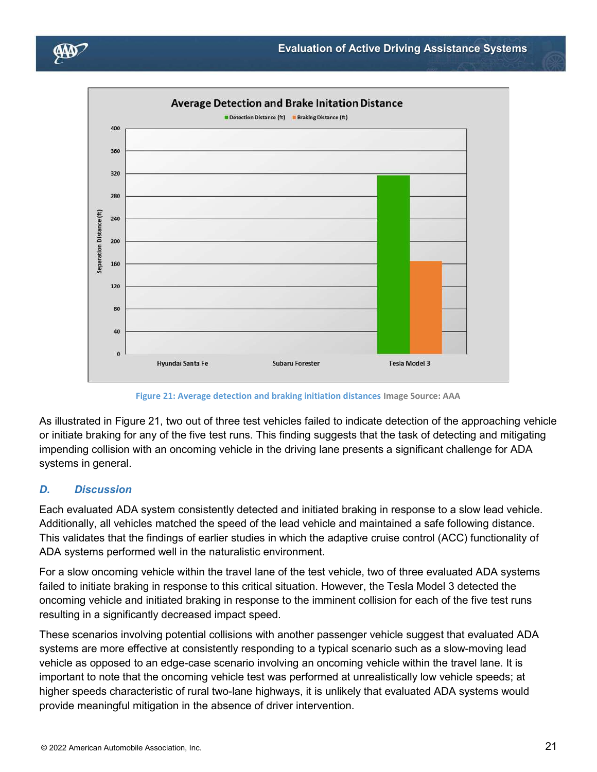



Figure 21: Average detection and braking initiation distances Image Source: AAA

As illustrated in Figure 21, two out of three test vehicles failed to indicate detection of the approaching vehicle or initiate braking for any of the five test runs. This finding suggests that the task of detecting and mitigating impending collision with an oncoming vehicle in the driving lane presents a significant challenge for ADA systems in general.

## D. Discussion

Each evaluated ADA system consistently detected and initiated braking in response to a slow lead vehicle. Additionally, all vehicles matched the speed of the lead vehicle and maintained a safe following distance. This validates that the findings of earlier studies in which the adaptive cruise control (ACC) functionality of ADA systems performed well in the naturalistic environment.

For a slow oncoming vehicle within the travel lane of the test vehicle, two of three evaluated ADA systems failed to initiate braking in response to this critical situation. However, the Tesla Model 3 detected the oncoming vehicle and initiated braking in response to the imminent collision for each of the five test runs resulting in a significantly decreased impact speed.

These scenarios involving potential collisions with another passenger vehicle suggest that evaluated ADA systems are more effective at consistently responding to a typical scenario such as a slow-moving lead vehicle as opposed to an edge-case scenario involving an oncoming vehicle within the travel lane. It is important to note that the oncoming vehicle test was performed at unrealistically low vehicle speeds; at higher speeds characteristic of rural two-lane highways, it is unlikely that evaluated ADA systems would provide meaningful mitigation in the absence of driver intervention.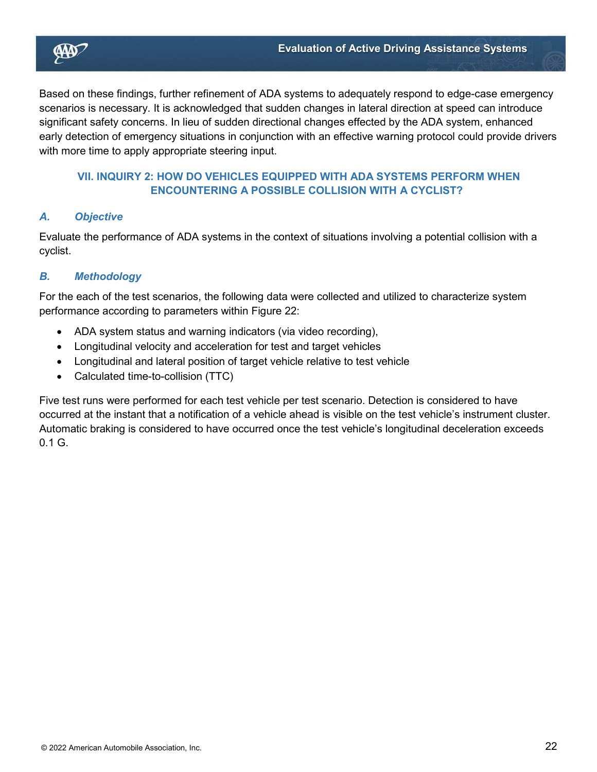

Based on these findings, further refinement of ADA systems to adequately respond to edge-case emergency scenarios is necessary. It is acknowledged that sudden changes in lateral direction at speed can introduce significant safety concerns. In lieu of sudden directional changes effected by the ADA system, enhanced early detection of emergency situations in conjunction with an effective warning protocol could provide drivers with more time to apply appropriate steering input.

# VII. INQUIRY 2: HOW DO VEHICLES EQUIPPED WITH ADA SYSTEMS PERFORM WHEN ENCOUNTERING A POSSIBLE COLLISION WITH A CYCLIST?

## A. Objective

Evaluate the performance of ADA systems in the context of situations involving a potential collision with a cyclist.

## B. Methodology

For the each of the test scenarios, the following data were collected and utilized to characterize system performance according to parameters within Figure 22:

- ADA system status and warning indicators (via video recording),
- Longitudinal velocity and acceleration for test and target vehicles
- Longitudinal and lateral position of target vehicle relative to test vehicle
- Calculated time-to-collision (TTC)

Five test runs were performed for each test vehicle per test scenario. Detection is considered to have occurred at the instant that a notification of a vehicle ahead is visible on the test vehicle's instrument cluster. Automatic braking is considered to have occurred once the test vehicle's longitudinal deceleration exceeds 0.1 G.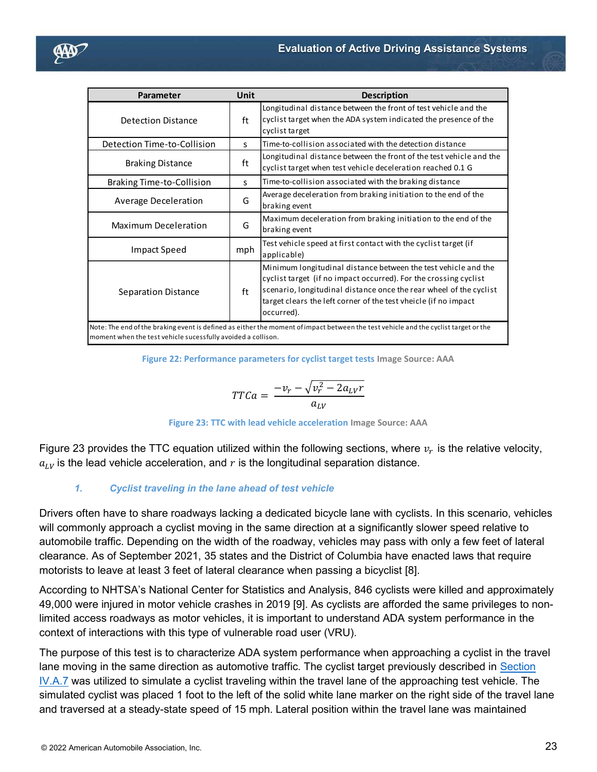

|                             |             | <b>Evaluation of Active Driving Assistance Systems</b>                                                                              |
|-----------------------------|-------------|-------------------------------------------------------------------------------------------------------------------------------------|
|                             |             |                                                                                                                                     |
|                             |             |                                                                                                                                     |
|                             |             |                                                                                                                                     |
|                             |             |                                                                                                                                     |
|                             |             |                                                                                                                                     |
|                             |             |                                                                                                                                     |
|                             |             |                                                                                                                                     |
|                             |             |                                                                                                                                     |
|                             |             |                                                                                                                                     |
|                             |             |                                                                                                                                     |
| Parameter                   | <b>Unit</b> | <b>Description</b>                                                                                                                  |
|                             |             |                                                                                                                                     |
| <b>Detection Distance</b>   | ft          | Longitudinal distance between the front of test vehicle and the<br>cyclist target when the ADA system indicated the presence of the |
|                             |             | cyclist target                                                                                                                      |
| Detection Time-to-Collision | S.          | Time-to-collision associated with the detection distance                                                                            |
|                             |             | Longitudinal distance between the front of the test vehicle and the                                                                 |
| <b>Braking Distance</b>     | ft          | cyclist target when test vehicle deceleration reached 0.1 G                                                                         |
| Braking Time-to-Collision   | s           | Time-to-collision associated with the braking distance                                                                              |
| <b>Average Deceleration</b> | G           | Average deceleration from braking initiation to the end of the                                                                      |
|                             |             | braking event                                                                                                                       |
|                             |             |                                                                                                                                     |
|                             |             | Maximum deceleration from braking initiation to the end of the                                                                      |
| <b>Maximum Deceleration</b> | G           | braking event                                                                                                                       |
| <b>Impact Speed</b>         | mph         | Test vehicle speed at first contact with the cyclist target (if                                                                     |
|                             |             | applicable)                                                                                                                         |
|                             |             | Minimum longitudinal distance between the test vehicle and the                                                                      |
|                             |             | cyclist target (if no impact occurred). For the crossing cyclist                                                                    |
| <b>Separation Distance</b>  | ft          | scenario, longitudinal distance once the rear wheel of the cyclist                                                                  |
|                             |             | target clears the left corner of the test vheicle (if no impact<br>occurred).                                                       |
|                             |             | Note: The end of the braking event is defined as either the moment of impact between the test vehicle and the cyclist target or the |

$$
TTCa = \frac{-v_r - \sqrt{v_r^2 - 2a_{LV}r}}{a_{LV}}
$$

Figure 23: TTC with lead vehicle acceleration Image Source: AAA

Figure 23 provides the TTC equation utilized within the following sections, where  $v_r$  is the relative velocity,  $a_{LV}$  is the lead vehicle acceleration, and  $r$  is the longitudinal separation distance.

#### 1. Cyclist traveling in the lane ahead of test vehicle

Drivers often have to share roadways lacking a dedicated bicycle lane with cyclists. In this scenario, vehicles will commonly approach a cyclist moving in the same direction at a significantly slower speed relative to automobile traffic. Depending on the width of the roadway, vehicles may pass with only a few feet of lateral clearance. As of September 2021, 35 states and the District of Columbia have enacted laws that require motorists to leave at least 3 feet of lateral clearance when passing a bicyclist [8].

According to NHTSA's National Center for Statistics and Analysis, 846 cyclists were killed and approximately 49,000 were injured in motor vehicle crashes in 2019 [9]. As cyclists are afforded the same privileges to nonlimited access roadways as motor vehicles, it is important to understand ADA system performance in the context of interactions with this type of vulnerable road user (VRU).

The purpose of this test is to characterize ADA system performance when approaching a cyclist in the travel lane moving in the same direction as automotive traffic. The cyclist target previously described in Section IV.A.7 was utilized to simulate a cyclist traveling within the travel lane of the approaching test vehicle. The simulated cyclist was placed 1 foot to the left of the solid white lane marker on the right side of the travel lane and traversed at a steady-state speed of 15 mph. Lateral position within the travel lane was maintained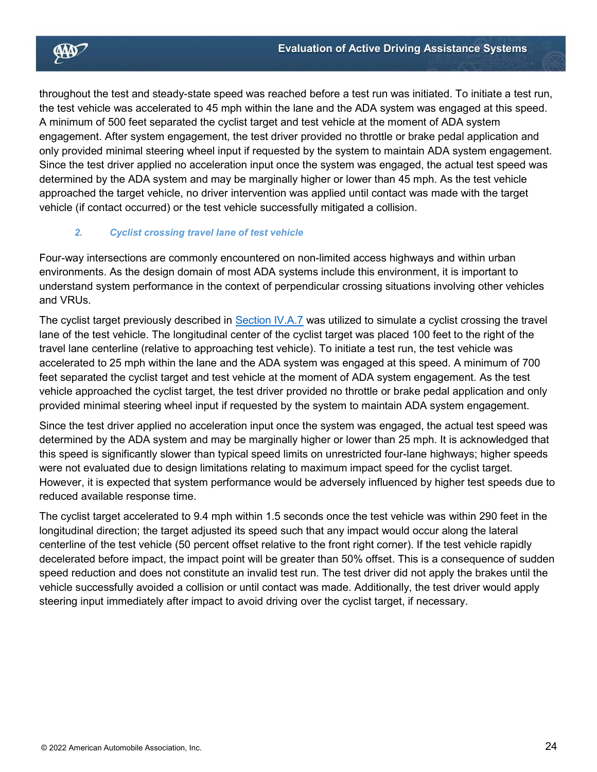

throughout the test and steady-state speed was reached before a test run was initiated. To initiate a test run, the test vehicle was accelerated to 45 mph within the lane and the ADA system was engaged at this speed. A minimum of 500 feet separated the cyclist target and test vehicle at the moment of ADA system engagement. After system engagement, the test driver provided no throttle or brake pedal application and only provided minimal steering wheel input if requested by the system to maintain ADA system engagement. Since the test driver applied no acceleration input once the system was engaged, the actual test speed was determined by the ADA system and may be marginally higher or lower than 45 mph. As the test vehicle approached the target vehicle, no driver intervention was applied until contact was made with the target vehicle (if contact occurred) or the test vehicle successfully mitigated a collision.

# 2. Cyclist crossing travel lane of test vehicle

Four-way intersections are commonly encountered on non-limited access highways and within urban environments. As the design domain of most ADA systems include this environment, it is important to understand system performance in the context of perpendicular crossing situations involving other vehicles and VRUs.

The cyclist target previously described in Section IV.A.7 was utilized to simulate a cyclist crossing the travel lane of the test vehicle. The longitudinal center of the cyclist target was placed 100 feet to the right of the travel lane centerline (relative to approaching test vehicle). To initiate a test run, the test vehicle was accelerated to 25 mph within the lane and the ADA system was engaged at this speed. A minimum of 700 feet separated the cyclist target and test vehicle at the moment of ADA system engagement. As the test vehicle approached the cyclist target, the test driver provided no throttle or brake pedal application and only provided minimal steering wheel input if requested by the system to maintain ADA system engagement.

Since the test driver applied no acceleration input once the system was engaged, the actual test speed was determined by the ADA system and may be marginally higher or lower than 25 mph. It is acknowledged that this speed is significantly slower than typical speed limits on unrestricted four-lane highways; higher speeds were not evaluated due to design limitations relating to maximum impact speed for the cyclist target. However, it is expected that system performance would be adversely influenced by higher test speeds due to reduced available response time.

The cyclist target accelerated to 9.4 mph within 1.5 seconds once the test vehicle was within 290 feet in the longitudinal direction; the target adjusted its speed such that any impact would occur along the lateral centerline of the test vehicle (50 percent offset relative to the front right corner). If the test vehicle rapidly decelerated before impact, the impact point will be greater than 50% offset. This is a consequence of sudden speed reduction and does not constitute an invalid test run. The test driver did not apply the brakes until the vehicle successfully avoided a collision or until contact was made. Additionally, the test driver would apply steering input immediately after impact to avoid driving over the cyclist target, if necessary.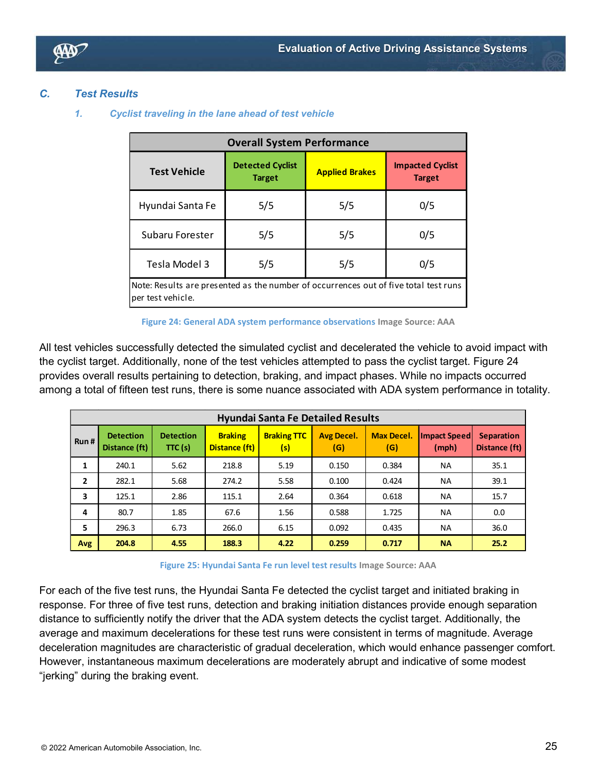## C. Test Results

#### 1. Cyclist traveling in the lane ahead of test vehicle

|                                                                                                           |                                          |                       | <b>Evaluation of Active Driving Assistance Systems</b> |
|-----------------------------------------------------------------------------------------------------------|------------------------------------------|-----------------------|--------------------------------------------------------|
| ts<br>list traveling in the lane ahead of test vehicle                                                    |                                          |                       |                                                        |
|                                                                                                           | <b>Overall System Performance</b>        |                       |                                                        |
| <b>Test Vehicle</b>                                                                                       | <b>Detected Cyclist</b><br><b>Target</b> | <b>Applied Brakes</b> | <b>Impacted Cyclist</b><br><b>Target</b>               |
| Hyundai Santa Fe                                                                                          | 5/5                                      | 5/5                   | 0/5                                                    |
| Subaru Forester                                                                                           | 5/5                                      | 5/5                   | 0/5                                                    |
| Tesla Model 3                                                                                             | 5/5                                      | 5/5                   | 0/5                                                    |
| Note: Results are presented as the number of occurrences out of five total test runs<br>per test vehicle. |                                          |                       |                                                        |
| Figure 24: General ADA system performance observations Image Source: AAA                                  |                                          |                       |                                                        |

All test vehicles successfully detected the simulated cyclist and decelerated the vehicle to avoid impact with the cyclist target. Additionally, none of the test vehicles attempted to pass the cyclist target. Figure 24 provides overall results pertaining to detection, braking, and impact phases. While no impacts occurred among a total of fifteen test runs, there is some nuance associated with ADA system performance in totality.

|              |                                   | Subaru Forester            |                                 | 5/5                       | 5/5                                                                                  |                                                                      | 0/5                                                                                                                                                                                                                                                                                                                                                                                                                          |                                    |
|--------------|-----------------------------------|----------------------------|---------------------------------|---------------------------|--------------------------------------------------------------------------------------|----------------------------------------------------------------------|------------------------------------------------------------------------------------------------------------------------------------------------------------------------------------------------------------------------------------------------------------------------------------------------------------------------------------------------------------------------------------------------------------------------------|------------------------------------|
|              |                                   | Tesla Model 3              |                                 | 5/5                       | 5/5                                                                                  |                                                                      | 0/5                                                                                                                                                                                                                                                                                                                                                                                                                          |                                    |
|              |                                   | per test vehicle.          |                                 |                           | Note: Results are presented as the number of occurrences out of five total test runs |                                                                      |                                                                                                                                                                                                                                                                                                                                                                                                                              |                                    |
|              |                                   |                            |                                 |                           | Figure 24: General ADA system performance observations Image Source: AAA             |                                                                      |                                                                                                                                                                                                                                                                                                                                                                                                                              |                                    |
|              |                                   |                            |                                 |                           |                                                                                      |                                                                      | vehicles successfully detected the simulated cyclist and decelerated the vehicle to avoid impact with<br>list target. Additionally, none of the test vehicles attempted to pass the cyclist target. Figure 24<br>es overall results pertaining to detection, braking, and impact phases. While no impacts occurred<br>a total of fifteen test runs, there is some nuance associated with ADA system performance in totality. |                                    |
|              |                                   |                            |                                 |                           | <b>Hyundai Santa Fe Detailed Results</b>                                             |                                                                      |                                                                                                                                                                                                                                                                                                                                                                                                                              |                                    |
| Run#         | <b>Detection</b><br>Distance (ft) | <b>Detection</b><br>TTC(s) | <b>Braking</b><br>Distance (ft) | <b>Braking TTC</b><br>(s) | <b>Avg Decel.</b><br>(G)                                                             | (G)                                                                  | <b>Max Decel.   Impact Speed </b><br>(mph)                                                                                                                                                                                                                                                                                                                                                                                   | <b>Separation</b><br>Distance (ft) |
| $\mathbf{1}$ | 240.1                             | 5.62                       | 218.8                           | 5.19                      | 0.150                                                                                | 0.384                                                                | NA.                                                                                                                                                                                                                                                                                                                                                                                                                          | 35.1                               |
| $\mathbf{2}$ | 282.1                             | 5.68                       | 274.2                           | 5.58                      | 0.100                                                                                | 0.424                                                                | ΝA                                                                                                                                                                                                                                                                                                                                                                                                                           | 39.1                               |
| 3            | 125.1                             | 2.86                       | 115.1                           | 2.64                      | 0.364                                                                                | 0.618                                                                | <b>NA</b>                                                                                                                                                                                                                                                                                                                                                                                                                    | 15.7                               |
| 4            | 80.7                              | 1.85                       | 67.6                            | 1.56                      | 0.588                                                                                | 1.725                                                                | <b>NA</b>                                                                                                                                                                                                                                                                                                                                                                                                                    | 0.0                                |
| 5            | 296.3                             | 6.73                       | 266.0                           | 6.15                      | 0.092                                                                                | 0.435                                                                | ΝA                                                                                                                                                                                                                                                                                                                                                                                                                           | 36.0                               |
| <b>Avg</b>   | 204.8                             | 4.55                       | 188.3                           | 4.22                      | 0.259                                                                                | 0.717                                                                | <b>NA</b>                                                                                                                                                                                                                                                                                                                                                                                                                    | 25.2                               |
|              |                                   |                            |                                 |                           |                                                                                      | Figure 25: Hyundai Santa Fe run level test results Image Source: AAA |                                                                                                                                                                                                                                                                                                                                                                                                                              |                                    |

Figure 25: Hyundai Santa Fe run level test results Image Source: AAA

For each of the five test runs, the Hyundai Santa Fe detected the cyclist target and initiated braking in response. For three of five test runs, detection and braking initiation distances provide enough separation distance to sufficiently notify the driver that the ADA system detects the cyclist target. Additionally, the average and maximum decelerations for these test runs were consistent in terms of magnitude. Average deceleration magnitudes are characteristic of gradual deceleration, which would enhance passenger comfort. However, instantaneous maximum decelerations are moderately abrupt and indicative of some modest "jerking" during the braking event.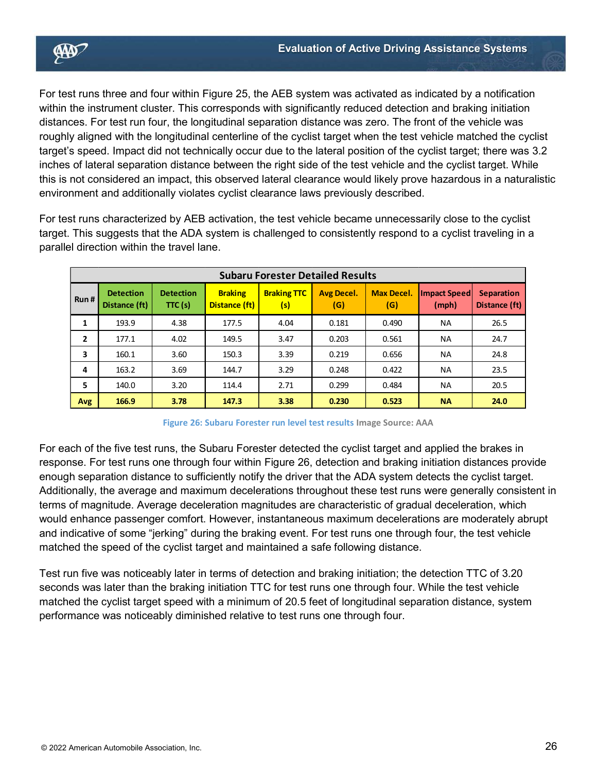

For test runs three and four within Figure 25, the AEB system was activated as indicated by a notification within the instrument cluster. This corresponds with significantly reduced detection and braking initiation distances. For test run four, the longitudinal separation distance was zero. The front of the vehicle was roughly aligned with the longitudinal centerline of the cyclist target when the test vehicle matched the cyclist target's speed. Impact did not technically occur due to the lateral position of the cyclist target; there was 3.2 inches of lateral separation distance between the right side of the test vehicle and the cyclist target. While this is not considered an impact, this observed lateral clearance would likely prove hazardous in a naturalistic environment and additionally violates cyclist clearance laws previously described.

For test runs characterized by AEB activation, the test vehicle became unnecessarily close to the cyclist target. This suggests that the ADA system is challenged to consistently respond to a cyclist traveling in a parallel direction within the travel lane.

|              | t runs three and four within Figure 25, the AEB system was activated as indicated by a notification<br>he instrument cluster. This corresponds with significantly reduced detection and braking initiation<br>es. For test run four, the longitudinal separation distance was zero. The front of the vehicle was<br>aligned with the longitudinal centerline of the cyclist target when the test vehicle matched the cyclist<br>speed. Impact did not technically occur due to the lateral position of the cyclist target; there was 3.2<br>of lateral separation distance between the right side of the test vehicle and the cyclist target. While<br>ot considered an impact, this observed lateral clearance would likely prove hazardous in a naturalistic<br>ment and additionally violates cyclist clearance laws previously described. |                  |                                                                                                                                                                                               |                                                               |                   |                   |              |                   |
|--------------|-----------------------------------------------------------------------------------------------------------------------------------------------------------------------------------------------------------------------------------------------------------------------------------------------------------------------------------------------------------------------------------------------------------------------------------------------------------------------------------------------------------------------------------------------------------------------------------------------------------------------------------------------------------------------------------------------------------------------------------------------------------------------------------------------------------------------------------------------|------------------|-----------------------------------------------------------------------------------------------------------------------------------------------------------------------------------------------|---------------------------------------------------------------|-------------------|-------------------|--------------|-------------------|
|              | direction within the travel lane.                                                                                                                                                                                                                                                                                                                                                                                                                                                                                                                                                                                                                                                                                                                                                                                                             |                  |                                                                                                                                                                                               |                                                               |                   |                   |              |                   |
|              | <b>Detection</b>                                                                                                                                                                                                                                                                                                                                                                                                                                                                                                                                                                                                                                                                                                                                                                                                                              | <b>Detection</b> | <b>Braking</b>                                                                                                                                                                                | <b>Subaru Forester Detailed Results</b><br><b>Braking TTC</b> | <b>Avg Decel.</b> | <b>Max Decel.</b> | Impact Speed | <b>Separation</b> |
| Run#         | Distance (ft)                                                                                                                                                                                                                                                                                                                                                                                                                                                                                                                                                                                                                                                                                                                                                                                                                                 | TTC(s)           | Distance (ft)                                                                                                                                                                                 | (s)                                                           | (G)               | (G)               | (mph)        | Distance (ft)     |
| $\mathbf{1}$ | 193.9                                                                                                                                                                                                                                                                                                                                                                                                                                                                                                                                                                                                                                                                                                                                                                                                                                         | 4.38             | 177.5                                                                                                                                                                                         | 4.04                                                          | 0.181             | 0.490             | NA           | 26.5              |
| $\mathbf{2}$ | 177.1                                                                                                                                                                                                                                                                                                                                                                                                                                                                                                                                                                                                                                                                                                                                                                                                                                         | 4.02             | 149.5                                                                                                                                                                                         | 3.47                                                          | 0.203             | 0.561             | NA           | 24.7              |
| $\mathbf{3}$ | 160.1                                                                                                                                                                                                                                                                                                                                                                                                                                                                                                                                                                                                                                                                                                                                                                                                                                         | 3.60             | 150.3                                                                                                                                                                                         | 3.39                                                          | 0.219             | 0.656             | <b>NA</b>    | 24.8              |
| 4            | 163.2                                                                                                                                                                                                                                                                                                                                                                                                                                                                                                                                                                                                                                                                                                                                                                                                                                         | 3.69             | 144.7                                                                                                                                                                                         | 3.29                                                          | 0.248             | 0.422             | NA           | 23.5              |
| 5            | 140.0                                                                                                                                                                                                                                                                                                                                                                                                                                                                                                                                                                                                                                                                                                                                                                                                                                         | 3.20             | 114.4                                                                                                                                                                                         | 2.71                                                          | 0.299             | 0.484             | NA           | 20.5              |
| <b>Avg</b>   | 166.9                                                                                                                                                                                                                                                                                                                                                                                                                                                                                                                                                                                                                                                                                                                                                                                                                                         | 3.78             | 147.3                                                                                                                                                                                         | 3.38                                                          | 0.230             | 0.523             | <b>NA</b>    | 24.0              |
|              | th of the five test runs, the Subaru Forester detected the cyclist target and applied the brakes in<br>se. For test runs one through four within Figure 26, detection and braking initiation distances provide                                                                                                                                                                                                                                                                                                                                                                                                                                                                                                                                                                                                                                |                  | Figure 26: Subaru Forester run level test results Image Source: AAA<br>$\alpha$ and $\alpha$ are the second and the second area in the second second and the second second area in the second |                                                               |                   |                   |              |                   |

Figure 26: Subaru Forester run level test results Image Source: AAA

For each of the five test runs, the Subaru Forester detected the cyclist target and applied the brakes in response. For test runs one through four within Figure 26, detection and braking initiation distances provide enough separation distance to sufficiently notify the driver that the ADA system detects the cyclist target. Additionally, the average and maximum decelerations throughout these test runs were generally consistent in terms of magnitude. Average deceleration magnitudes are characteristic of gradual deceleration, which would enhance passenger comfort. However, instantaneous maximum decelerations are moderately abrupt and indicative of some "jerking" during the braking event. For test runs one through four, the test vehicle matched the speed of the cyclist target and maintained a safe following distance.

Test run five was noticeably later in terms of detection and braking initiation; the detection TTC of 3.20 seconds was later than the braking initiation TTC for test runs one through four. While the test vehicle matched the cyclist target speed with a minimum of 20.5 feet of longitudinal separation distance, system performance was noticeably diminished relative to test runs one through four.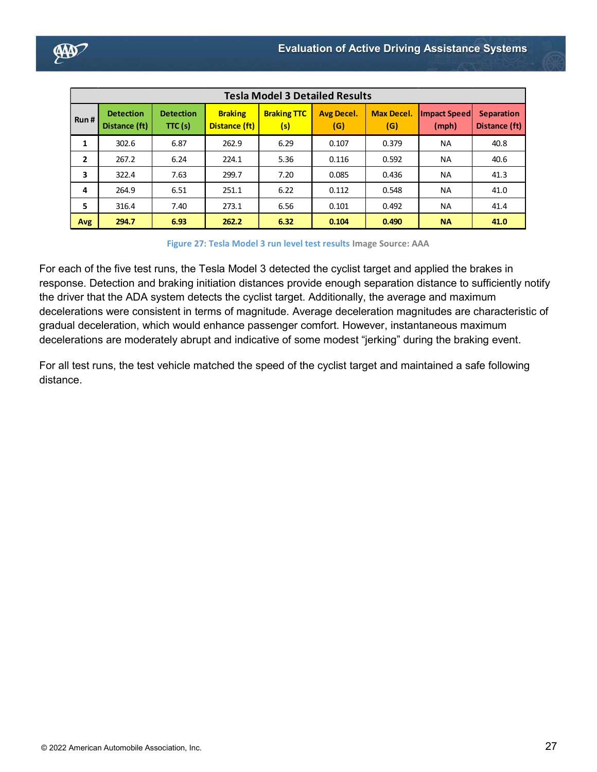

For each of the five test runs, the Tesla Model 3 detected the cyclist target and applied the brakes in response. Detection and braking initiation distances provide enough separation distance to sufficiently notify the driver that the ADA system detects the cyclist target. Additionally, the average and maximum decelerations were consistent in terms of magnitude. Average deceleration magnitudes are characteristic of gradual deceleration, which would enhance passenger comfort. However, instantaneous maximum decelerations are moderately abrupt and indicative of some modest "jerking" during the braking event.

For all test runs, the test vehicle matched the speed of the cyclist target and maintained a safe following distance.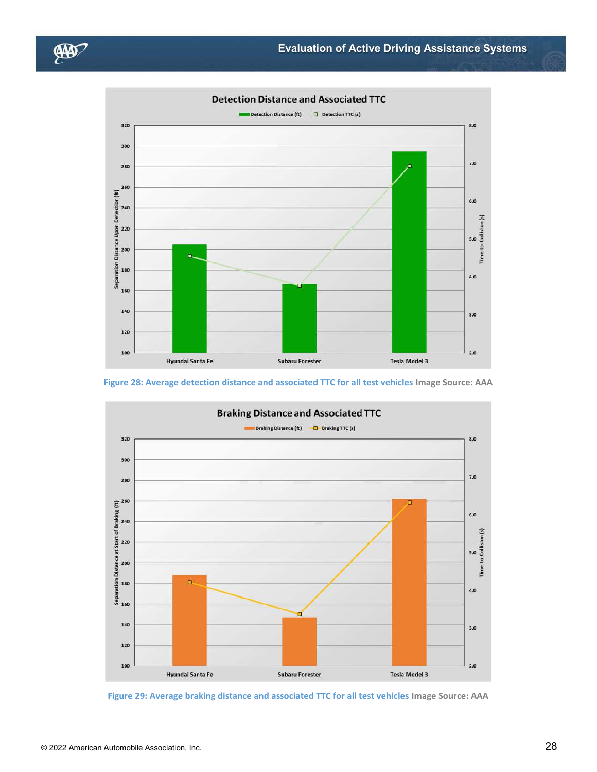



Figure 28: Average detection distance and associated TTC for all test vehicles Image Source: AAA



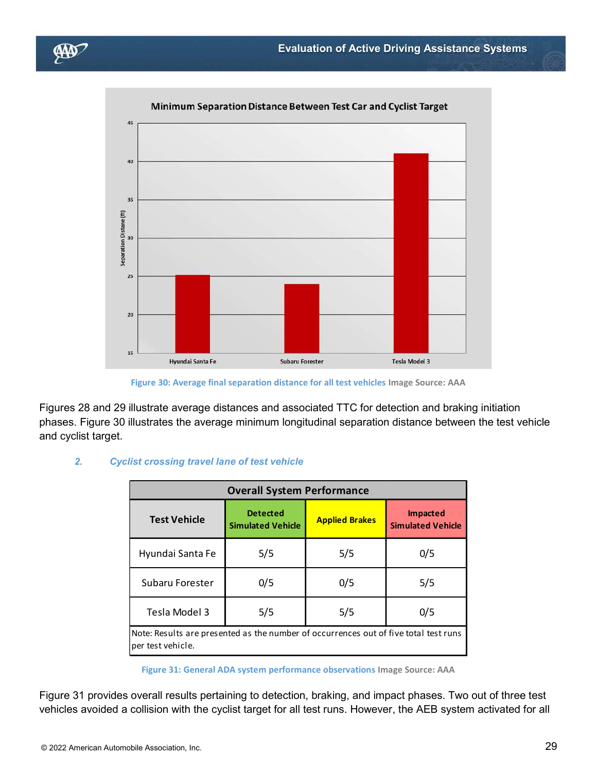



Figure 30: Average final separation distance for all test vehicles Image Source: AAA

Figures 28 and 29 illustrate average distances and associated TTC for detection and braking initiation phases. Figure 30 illustrates the average minimum longitudinal separation distance between the test vehicle and cyclist target.

| z. | <b>Cyclist crossing travel lane of test vehicle</b> |  |  |  |
|----|-----------------------------------------------------|--|--|--|
|----|-----------------------------------------------------|--|--|--|

| 20<br>15 |                     |                                                                                                                                                                                   |                       |                                             |
|----------|---------------------|-----------------------------------------------------------------------------------------------------------------------------------------------------------------------------------|-----------------------|---------------------------------------------|
|          | Hyundai Santa Fe    | <b>Subaru Forester</b><br>Figure 30: Average final separation distance for all test vehicles Image Source: AAA                                                                    |                       | <b>Tesla Model 3</b>                        |
|          |                     | illustrate average distances and associated TTC for detection and braking initiation<br>illustrates the average minimum longitudinal separation distance between the test vehicle |                       |                                             |
|          |                     | list crossing travel lane of test vehicle                                                                                                                                         |                       |                                             |
|          |                     | <b>Overall System Performance</b>                                                                                                                                                 |                       |                                             |
|          | <b>Test Vehicle</b> | <b>Detected</b><br><b>Simulated Vehicle</b>                                                                                                                                       | <b>Applied Brakes</b> | <b>Impacted</b><br><b>Simulated Vehicle</b> |
|          | Hyundai Santa Fe    | 5/5                                                                                                                                                                               | 5/5                   | 0/5                                         |
|          | Subaru Forester     | 0/5                                                                                                                                                                               | 0/5                   | 5/5                                         |
|          | Tesla Model 3       | 5/5                                                                                                                                                                               | 5/5                   | 0/5                                         |
|          | per test vehicle.   | Note: Results are presented as the number of occurrences out of five total test runs                                                                                              |                       |                                             |
|          |                     | Figure 31: General ADA system performance observations Image Source: AAA                                                                                                          |                       |                                             |

Figure 31 provides overall results pertaining to detection, braking, and impact phases. Two out of three test vehicles avoided a collision with the cyclist target for all test runs. However, the AEB system activated for all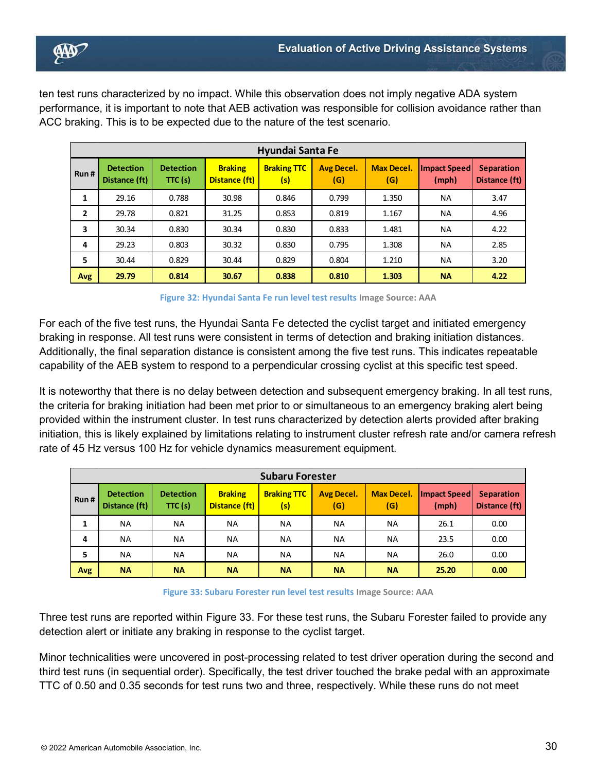

ten test runs characterized by no impact. While this observation does not imply negative ADA system performance, it is important to note that AEB activation was responsible for collision avoidance rather than ACC braking. This is to be expected due to the nature of the test scenario.

| $\bm{\nabla}$        |                                                                                                                                                                                                                                                                                  |                  |                |                                        |                   |       | <b>Evaluation of Active Driving Assistance Systems</b> |                   |
|----------------------|----------------------------------------------------------------------------------------------------------------------------------------------------------------------------------------------------------------------------------------------------------------------------------|------------------|----------------|----------------------------------------|-------------------|-------|--------------------------------------------------------|-------------------|
|                      | t runs characterized by no impact. While this observation does not imply negative ADA system<br>nance, it is important to note that AEB activation was responsible for collision avoidance rather than<br>raking. This is to be expected due to the nature of the test scenario. |                  |                |                                        |                   |       |                                                        |                   |
|                      |                                                                                                                                                                                                                                                                                  |                  |                |                                        |                   |       |                                                        |                   |
|                      | <b>Detection</b>                                                                                                                                                                                                                                                                 | <b>Detection</b> | <b>Braking</b> | Hyundai Santa Fe<br><b>Braking TTC</b> | <b>Avg Decel.</b> |       | <b>Max Decel.</b> Impact Speed                         | <b>Separation</b> |
|                      | Distance (ft)                                                                                                                                                                                                                                                                    | TTC(s)           | Distance (ft)  | (s)                                    | (G)               | (G)   | (mph)                                                  | Distance (ft)     |
| $\mathbf{1}$         | 29.16                                                                                                                                                                                                                                                                            | 0.788            | 30.98          | 0.846                                  | 0.799             | 1.350 | NA                                                     | 3.47              |
| Run#<br>$\mathbf{2}$ | 29.78                                                                                                                                                                                                                                                                            | 0.821            | 31.25          | 0.853                                  | 0.819             | 1.167 | NA                                                     | 4.96              |
| 3                    | 30.34                                                                                                                                                                                                                                                                            | 0.830            | 30.34          | 0.830                                  | 0.833             | 1.481 | NA                                                     | 4.22              |
| 4                    | 29.23                                                                                                                                                                                                                                                                            | 0.803            | 30.32          | 0.830                                  | 0.795             | 1.308 | NA                                                     | 2.85              |
| 5                    | 30.44                                                                                                                                                                                                                                                                            | 0.829            | 30.44          | 0.829                                  | 0.804             | 1.210 | NA                                                     | 3.20              |

Figure 32: Hyundai Santa Fe run level test results Image Source: AAA

For each of the five test runs, the Hyundai Santa Fe detected the cyclist target and initiated emergency braking in response. All test runs were consistent in terms of detection and braking initiation distances. Additionally, the final separation distance is consistent among the five test runs. This indicates repeatable capability of the AEB system to respond to a perpendicular crossing cyclist at this specific test speed.

It is noteworthy that there is no delay between detection and subsequent emergency braking. In all test runs, the criteria for braking initiation had been met prior to or simultaneous to an emergency braking alert being provided within the instrument cluster. In test runs characterized by detection alerts provided after braking initiation, this is likely explained by limitations relating to instrument cluster refresh rate and/or camera refresh rate of 45 Hz versus 100 Hz for vehicle dynamics measurement equipment.

|              |                                   |                            | Figure 32: Hyundai Santa Fe run level test results Image Source: AAA |                           |                          |                          |                                                                                                                                                                                                                          |                                    |
|--------------|-----------------------------------|----------------------------|----------------------------------------------------------------------|---------------------------|--------------------------|--------------------------|--------------------------------------------------------------------------------------------------------------------------------------------------------------------------------------------------------------------------|------------------------------------|
|              |                                   |                            |                                                                      |                           |                          |                          | ch of the five test runs, the Hyundai Santa Fe detected the cyclist target and initiated emergency                                                                                                                       |                                    |
|              |                                   |                            |                                                                      |                           |                          |                          | g in response. All test runs were consistent in terms of detection and braking initiation distances.<br>onally, the final separation distance is consistent among the five test runs. This indicates repeatable          |                                    |
|              |                                   |                            |                                                                      |                           |                          |                          | ility of the AEB system to respond to a perpendicular crossing cyclist at this specific test speed.                                                                                                                      |                                    |
|              |                                   |                            |                                                                      |                           |                          |                          | teworthy that there is no delay between detection and subsequent emergency braking. In all test runs,                                                                                                                    |                                    |
|              |                                   |                            |                                                                      |                           |                          |                          | teria for braking initiation had been met prior to or simultaneous to an emergency braking alert being                                                                                                                   |                                    |
|              |                                   |                            |                                                                      |                           |                          |                          | ed within the instrument cluster. In test runs characterized by detection alerts provided after braking<br>on, this is likely explained by limitations relating to instrument cluster refresh rate and/or camera refresh |                                    |
|              |                                   |                            | 45 Hz versus 100 Hz for vehicle dynamics measurement equipment.      |                           |                          |                          |                                                                                                                                                                                                                          |                                    |
|              |                                   |                            |                                                                      | <b>Subaru Forester</b>    |                          |                          |                                                                                                                                                                                                                          |                                    |
| Run#         | <b>Detection</b><br>Distance (ft) | <b>Detection</b><br>TTC(s) | <b>Braking</b><br>Distance (ft)                                      | <b>Braking TTC</b><br>(s) | <b>Avg Decel.</b><br>(G) | <b>Max Decel.</b><br>(G) | <b>Impact Speed</b><br>(mph)                                                                                                                                                                                             | <b>Separation</b><br>Distance (ft) |
| $\mathbf{1}$ | NA                                | <b>NA</b>                  | <b>NA</b>                                                            | NA                        | <b>NA</b>                | NA                       | 26.1                                                                                                                                                                                                                     | 0.00                               |
| 4            | <b>NA</b>                         | <b>NA</b>                  | <b>NA</b>                                                            | <b>NA</b>                 | <b>NA</b>                | <b>NA</b>                | 23.5                                                                                                                                                                                                                     | 0.00                               |
| 5            | <b>NA</b>                         | <b>NA</b>                  | <b>NA</b>                                                            | <b>NA</b>                 | <b>NA</b>                | <b>NA</b>                | 26.0                                                                                                                                                                                                                     | 0.00                               |
| Avg          | <b>NA</b>                         | <b>NA</b>                  | <b>NA</b>                                                            | <b>NA</b>                 | <b>NA</b>                | <b>NA</b>                | 25.20                                                                                                                                                                                                                    | 0.00                               |
|              |                                   |                            | Figure 33: Subaru Forester run level test results Image Source: AAA  |                           |                          |                          |                                                                                                                                                                                                                          |                                    |
|              |                                   |                            |                                                                      |                           |                          |                          |                                                                                                                                                                                                                          |                                    |
|              |                                   |                            | ion alert or initiate any braking in response to the cyclist target. |                           |                          |                          | test runs are reported within Figure 33. For these test runs, the Subaru Forester failed to provide any                                                                                                                  |                                    |
|              |                                   |                            |                                                                      |                           |                          |                          |                                                                                                                                                                                                                          |                                    |

Figure 33: Subaru Forester run level test results Image Source: AAA

Three test runs are reported within Figure 33. For these test runs, the Subaru Forester failed to provide any detection alert or initiate any braking in response to the cyclist target.

Minor technicalities were uncovered in post-processing related to test driver operation during the second and third test runs (in sequential order). Specifically, the test driver touched the brake pedal with an approximate TTC of 0.50 and 0.35 seconds for test runs two and three, respectively. While these runs do not meet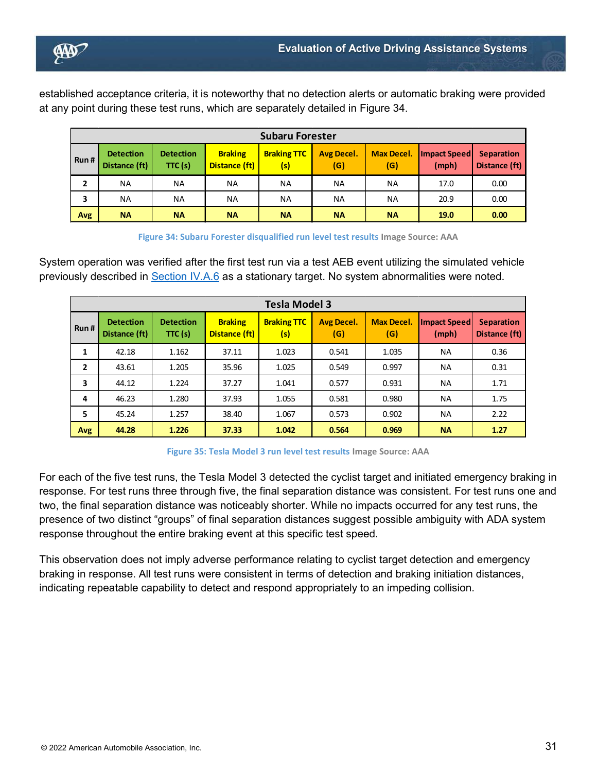

established acceptance criteria, it is noteworthy that no detection alerts or automatic braking were provided at any point during these test runs, which are separately detailed in Figure 34.

|                         |                                                                                                                                                                                     |                            |                                 |                           |                          |                         | <b>Evaluation of Active Driving Assistance Systems</b> |                                    |
|-------------------------|-------------------------------------------------------------------------------------------------------------------------------------------------------------------------------------|----------------------------|---------------------------------|---------------------------|--------------------------|-------------------------|--------------------------------------------------------|------------------------------------|
|                         |                                                                                                                                                                                     |                            |                                 |                           |                          |                         |                                                        |                                    |
|                         | shed acceptance criteria, it is noteworthy that no detection alerts or automatic braking were provided<br>point during these test runs, which are separately detailed in Figure 34. |                            |                                 |                           |                          |                         |                                                        |                                    |
|                         |                                                                                                                                                                                     |                            |                                 |                           |                          |                         |                                                        |                                    |
|                         |                                                                                                                                                                                     |                            |                                 | <b>Subaru Forester</b>    |                          |                         |                                                        |                                    |
|                         | <b>Detection</b><br>Distance (ft)                                                                                                                                                   | <b>Detection</b><br>TTC(s) | <b>Braking</b><br>Distance (ft) | <b>Braking TTC</b><br>(s) | <b>Avg Decel.</b><br>(G) | <b>Max Decel</b><br>(G) | Impact Speed<br>(mph)                                  | <b>Separation</b><br>Distance (ft) |
| Run#<br>$\overline{2}$  | <b>NA</b>                                                                                                                                                                           | <b>NA</b>                  | <b>NA</b>                       | <b>NA</b>                 | <b>NA</b>                | <b>NA</b>               | 17.0                                                   | 0.00                               |
| $\overline{\mathbf{3}}$ | <b>NA</b>                                                                                                                                                                           | <b>NA</b>                  | <b>NA</b>                       | <b>NA</b>                 | <b>NA</b>                | <b>NA</b>               | 20.9                                                   | 0.00                               |

Figure 34: Subaru Forester disqualified run level test results Image Source: AAA

System operation was verified after the first test run via a test AEB event utilizing the simulated vehicle previously described in Section IV.A.6 as a stationary target. No system abnormalities were noted.

|              |                                                                                                     |                            |                                 | <b>Subaru Forester</b>    |                          |                          |                       |                                    |
|--------------|-----------------------------------------------------------------------------------------------------|----------------------------|---------------------------------|---------------------------|--------------------------|--------------------------|-----------------------|------------------------------------|
| Run#         | <b>Detection</b><br>Distance (ft)                                                                   | <b>Detection</b><br>TTC(s) | <b>Braking</b><br>Distance (ft) | <b>Braking TTC</b><br>(s) | <b>Avg Decel.</b><br>(G) | <b>Max Decel.</b><br>(G) | Impact Speed<br>(mph) | <b>Separation</b><br>Distance (ft) |
| $\mathbf{2}$ | <b>NA</b>                                                                                           | <b>NA</b>                  | <b>NA</b>                       | <b>NA</b>                 | <b>NA</b>                | <b>NA</b>                | 17.0                  | 0.00                               |
| 3            | ΝA                                                                                                  | <b>NA</b>                  | <b>NA</b>                       | NA                        | <b>NA</b>                | NA                       | 20.9                  | 0.00                               |
| Avg          | <b>NA</b>                                                                                           | <b>NA</b>                  | <b>NA</b>                       | <b>NA</b>                 | <b>NA</b>                | <b>NA</b>                | 19.0                  | 0.00                               |
|              | usly described in <b>Section IV.A.6</b> as a stationary target. No system abnormalities were noted. |                            |                                 | <b>Tesla Model 3</b>      |                          |                          |                       |                                    |
| Run#         | <b>Detection</b><br>Distance (ft)                                                                   | <b>Detection</b><br>TTC(s) | <b>Braking</b><br>Distance (ft) | <b>Braking TTC</b><br>(s) | <b>Avg Decel.</b><br>(G) | <b>Max Decel.</b><br>(G) | Impact Speed<br>(mph) | <b>Separation</b><br>Distance (ft) |
|              |                                                                                                     |                            |                                 | 1.023                     | 0.541                    | 1.035                    | <b>NA</b>             | 0.36                               |
| $\mathbf{1}$ | 42.18                                                                                               | 1.162                      | 37.11                           |                           |                          |                          |                       |                                    |
| $\mathbf{2}$ | 43.61                                                                                               | 1.205                      | 35.96                           | 1.025                     | 0.549                    | 0.997                    | NA                    | 0.31                               |
| 3            | 44.12                                                                                               | 1.224                      | 37.27                           | 1.041                     | 0.577                    | 0.931                    | NA                    | 1.71                               |
| 4            | 46.23                                                                                               | 1.280                      | 37.93                           | 1.055                     | 0.581                    | 0.980                    | NA.                   | 1.75                               |
| 5            | 45.24                                                                                               | 1.257                      | 38.40                           | 1.067                     | 0.573                    | 0.902                    | NA                    | 2.22                               |
| Avg          | 44.28                                                                                               | 1.226                      | 37.33                           | 1.042                     | 0.564                    | 0.969                    | <b>NA</b>             | 1.27                               |

For each of the five test runs, the Tesla Model 3 detected the cyclist target and initiated emergency braking in response. For test runs three through five, the final separation distance was consistent. For test runs one and two, the final separation distance was noticeably shorter. While no impacts occurred for any test runs, the presence of two distinct "groups" of final separation distances suggest possible ambiguity with ADA system response throughout the entire braking event at this specific test speed.

This observation does not imply adverse performance relating to cyclist target detection and emergency braking in response. All test runs were consistent in terms of detection and braking initiation distances, indicating repeatable capability to detect and respond appropriately to an impeding collision.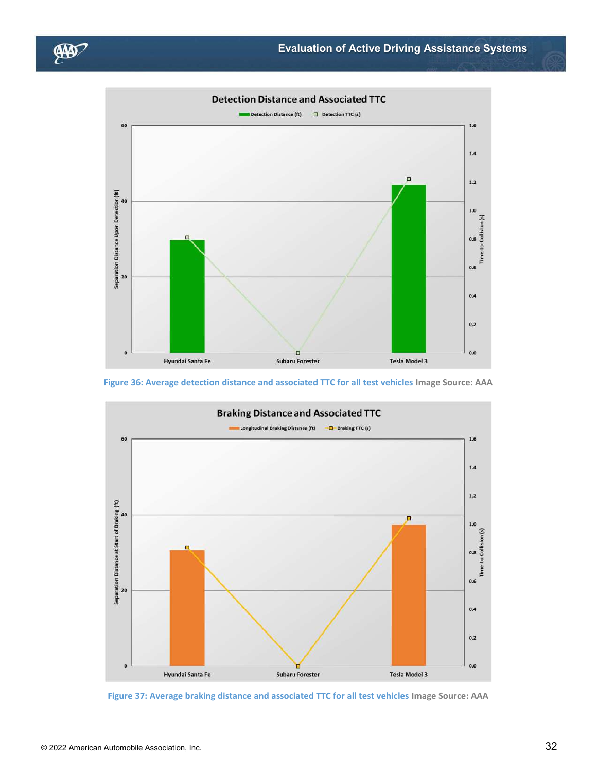

Figure 36: Average detection distance and associated TTC for all test vehicles Image Source: AAA



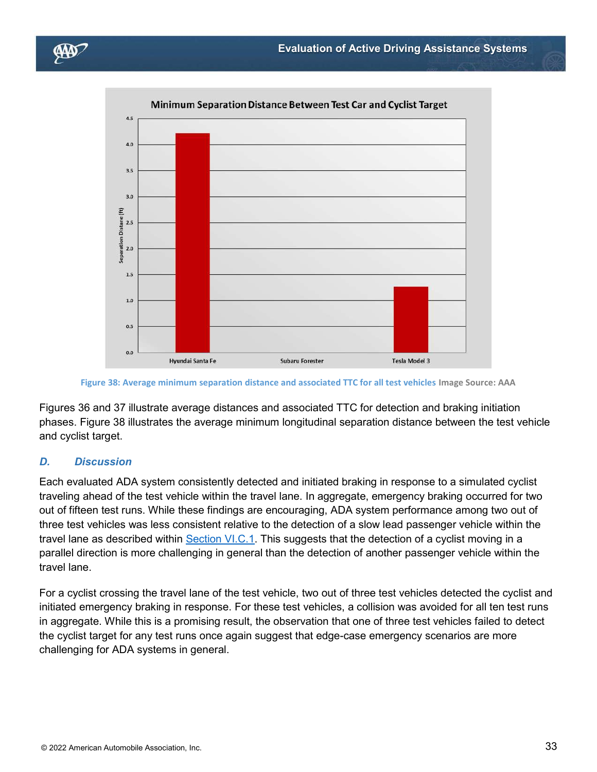



Figure 38: Average minimum separation distance and associated TTC for all test vehicles Image Source: AAA

Figures 36 and 37 illustrate average distances and associated TTC for detection and braking initiation phases. Figure 38 illustrates the average minimum longitudinal separation distance between the test vehicle and cyclist target.

## D. Discussion

Each evaluated ADA system consistently detected and initiated braking in response to a simulated cyclist traveling ahead of the test vehicle within the travel lane. In aggregate, emergency braking occurred for two out of fifteen test runs. While these findings are encouraging, ADA system performance among two out of three test vehicles was less consistent relative to the detection of a slow lead passenger vehicle within the travel lane as described within Section VI.C.1. This suggests that the detection of a cyclist moving in a parallel direction is more challenging in general than the detection of another passenger vehicle within the travel lane.

For a cyclist crossing the travel lane of the test vehicle, two out of three test vehicles detected the cyclist and initiated emergency braking in response. For these test vehicles, a collision was avoided for all ten test runs in aggregate. While this is a promising result, the observation that one of three test vehicles failed to detect the cyclist target for any test runs once again suggest that edge-case emergency scenarios are more challenging for ADA systems in general.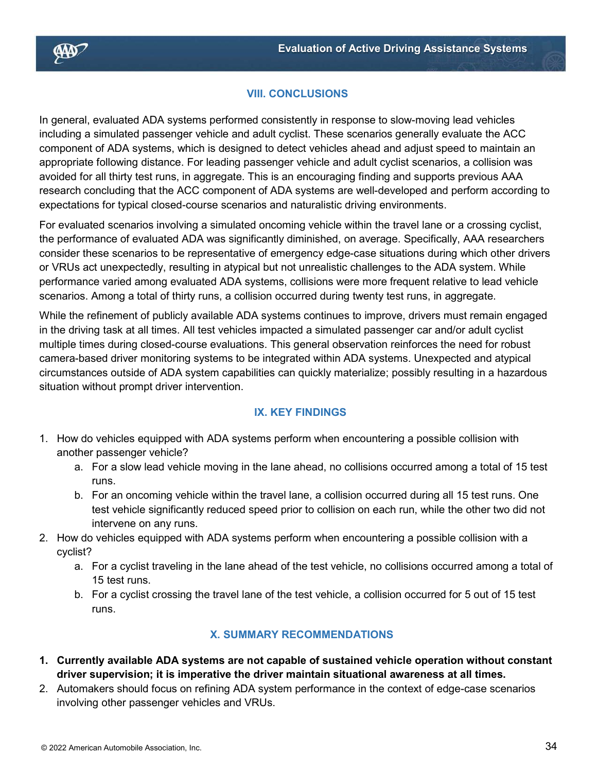

## VIII. CONCLUSIONS

In general, evaluated ADA systems performed consistently in response to slow-moving lead vehicles including a simulated passenger vehicle and adult cyclist. These scenarios generally evaluate the ACC component of ADA systems, which is designed to detect vehicles ahead and adjust speed to maintain an appropriate following distance. For leading passenger vehicle and adult cyclist scenarios, a collision was avoided for all thirty test runs, in aggregate. This is an encouraging finding and supports previous AAA research concluding that the ACC component of ADA systems are well-developed and perform according to expectations for typical closed-course scenarios and naturalistic driving environments.

For evaluated scenarios involving a simulated oncoming vehicle within the travel lane or a crossing cyclist, the performance of evaluated ADA was significantly diminished, on average. Specifically, AAA researchers consider these scenarios to be representative of emergency edge-case situations during which other drivers or VRUs act unexpectedly, resulting in atypical but not unrealistic challenges to the ADA system. While performance varied among evaluated ADA systems, collisions were more frequent relative to lead vehicle scenarios. Among a total of thirty runs, a collision occurred during twenty test runs, in aggregate.

While the refinement of publicly available ADA systems continues to improve, drivers must remain engaged in the driving task at all times. All test vehicles impacted a simulated passenger car and/or adult cyclist multiple times during closed-course evaluations. This general observation reinforces the need for robust camera-based driver monitoring systems to be integrated within ADA systems. Unexpected and atypical circumstances outside of ADA system capabilities can quickly materialize; possibly resulting in a hazardous situation without prompt driver intervention.

## IX. KEY FINDINGS

- 1. How do vehicles equipped with ADA systems perform when encountering a possible collision with another passenger vehicle?
	- a. For a slow lead vehicle moving in the lane ahead, no collisions occurred among a total of 15 test runs.
	- b. For an oncoming vehicle within the travel lane, a collision occurred during all 15 test runs. One test vehicle significantly reduced speed prior to collision on each run, while the other two did not intervene on any runs.
- 2. How do vehicles equipped with ADA systems perform when encountering a possible collision with a cyclist?
	- a. For a cyclist traveling in the lane ahead of the test vehicle, no collisions occurred among a total of 15 test runs.
	- b. For a cyclist crossing the travel lane of the test vehicle, a collision occurred for 5 out of 15 test runs.

# X. SUMMARY RECOMMENDATIONS

- 1. Currently available ADA systems are not capable of sustained vehicle operation without constant driver supervision; it is imperative the driver maintain situational awareness at all times.
- 2. Automakers should focus on refining ADA system performance in the context of edge-case scenarios involving other passenger vehicles and VRUs.